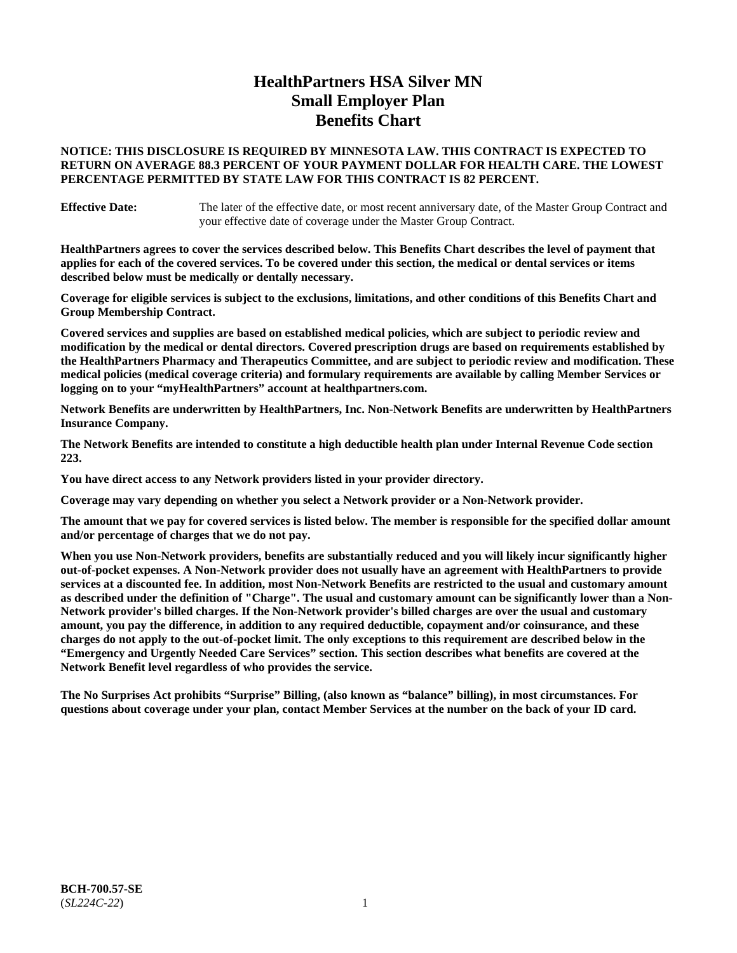# **HealthPartners HSA Silver MN Small Employer Plan Benefits Chart**

### **NOTICE: THIS DISCLOSURE IS REQUIRED BY MINNESOTA LAW. THIS CONTRACT IS EXPECTED TO RETURN ON AVERAGE 88.3 PERCENT OF YOUR PAYMENT DOLLAR FOR HEALTH CARE. THE LOWEST PERCENTAGE PERMITTED BY STATE LAW FOR THIS CONTRACT IS 82 PERCENT.**

**Effective Date:** The later of the effective date, or most recent anniversary date, of the Master Group Contract and your effective date of coverage under the Master Group Contract.

**HealthPartners agrees to cover the services described below. This Benefits Chart describes the level of payment that applies for each of the covered services. To be covered under this section, the medical or dental services or items described below must be medically or dentally necessary.**

**Coverage for eligible services is subject to the exclusions, limitations, and other conditions of this Benefits Chart and Group Membership Contract.**

**Covered services and supplies are based on established medical policies, which are subject to periodic review and modification by the medical or dental directors. Covered prescription drugs are based on requirements established by the HealthPartners Pharmacy and Therapeutics Committee, and are subject to periodic review and modification. These medical policies (medical coverage criteria) and formulary requirements are available by calling Member Services or logging on to your "myHealthPartners" account at [healthpartners.com.](https://www.healthpartners.com/hp/index.html)**

**Network Benefits are underwritten by HealthPartners, Inc. Non-Network Benefits are underwritten by HealthPartners Insurance Company.** 

**The Network Benefits are intended to constitute a high deductible health plan under Internal Revenue Code section 223.** 

**You have direct access to any Network providers listed in your provider directory.**

**Coverage may vary depending on whether you select a Network provider or a Non-Network provider.**

**The amount that we pay for covered services is listed below. The member is responsible for the specified dollar amount and/or percentage of charges that we do not pay.**

**When you use Non-Network providers, benefits are substantially reduced and you will likely incur significantly higher out-of-pocket expenses. A Non-Network provider does not usually have an agreement with HealthPartners to provide services at a discounted fee. In addition, most Non-Network Benefits are restricted to the usual and customary amount as described under the definition of "Charge". The usual and customary amount can be significantly lower than a Non-Network provider's billed charges. If the Non-Network provider's billed charges are over the usual and customary amount, you pay the difference, in addition to any required deductible, copayment and/or coinsurance, and these charges do not apply to the out-of-pocket limit. The only exceptions to this requirement are described below in the "Emergency and Urgently Needed Care Services" section. This section describes what benefits are covered at the Network Benefit level regardless of who provides the service.**

**The No Surprises Act prohibits "Surprise" Billing, (also known as "balance" billing), in most circumstances. For questions about coverage under your plan, contact Member Services at the number on the back of your ID card.**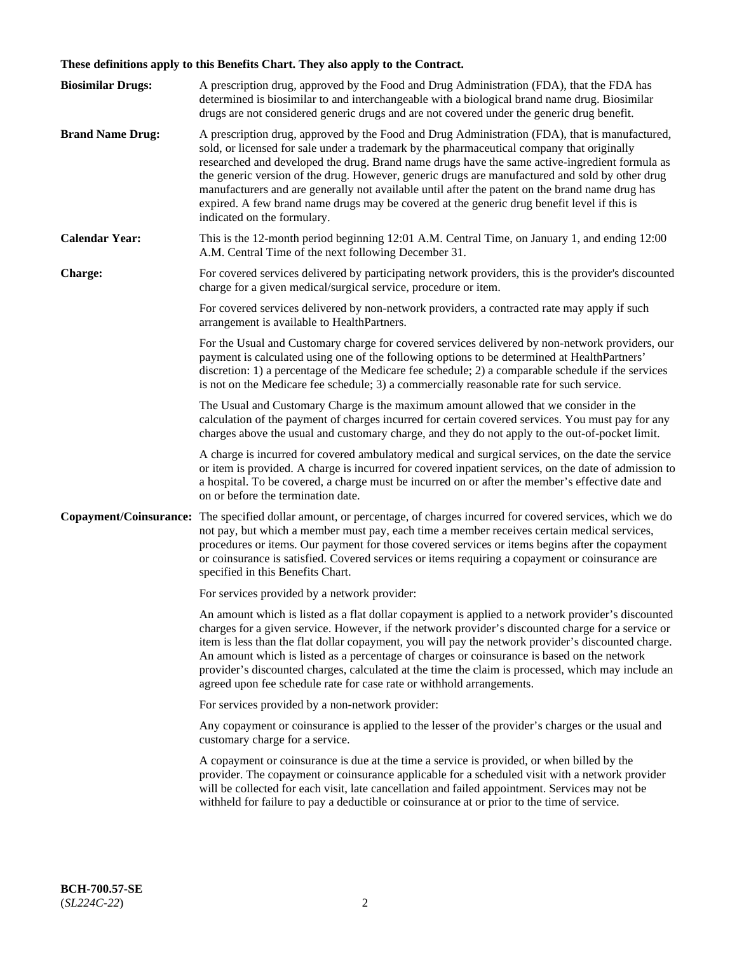# **These definitions apply to this Benefits Chart. They also apply to the Contract.**

| <b>Biosimilar Drugs:</b> | A prescription drug, approved by the Food and Drug Administration (FDA), that the FDA has<br>determined is biosimilar to and interchangeable with a biological brand name drug. Biosimilar<br>drugs are not considered generic drugs and are not covered under the generic drug benefit.                                                                                                                                                                                                                                                                                                                                           |
|--------------------------|------------------------------------------------------------------------------------------------------------------------------------------------------------------------------------------------------------------------------------------------------------------------------------------------------------------------------------------------------------------------------------------------------------------------------------------------------------------------------------------------------------------------------------------------------------------------------------------------------------------------------------|
| <b>Brand Name Drug:</b>  | A prescription drug, approved by the Food and Drug Administration (FDA), that is manufactured,<br>sold, or licensed for sale under a trademark by the pharmaceutical company that originally<br>researched and developed the drug. Brand name drugs have the same active-ingredient formula as<br>the generic version of the drug. However, generic drugs are manufactured and sold by other drug<br>manufacturers and are generally not available until after the patent on the brand name drug has<br>expired. A few brand name drugs may be covered at the generic drug benefit level if this is<br>indicated on the formulary. |
| <b>Calendar Year:</b>    | This is the 12-month period beginning 12:01 A.M. Central Time, on January 1, and ending 12:00<br>A.M. Central Time of the next following December 31.                                                                                                                                                                                                                                                                                                                                                                                                                                                                              |
| <b>Charge:</b>           | For covered services delivered by participating network providers, this is the provider's discounted<br>charge for a given medical/surgical service, procedure or item.                                                                                                                                                                                                                                                                                                                                                                                                                                                            |
|                          | For covered services delivered by non-network providers, a contracted rate may apply if such<br>arrangement is available to HealthPartners.                                                                                                                                                                                                                                                                                                                                                                                                                                                                                        |
|                          | For the Usual and Customary charge for covered services delivered by non-network providers, our<br>payment is calculated using one of the following options to be determined at HealthPartners'<br>discretion: 1) a percentage of the Medicare fee schedule; 2) a comparable schedule if the services<br>is not on the Medicare fee schedule; 3) a commercially reasonable rate for such service.                                                                                                                                                                                                                                  |
|                          | The Usual and Customary Charge is the maximum amount allowed that we consider in the<br>calculation of the payment of charges incurred for certain covered services. You must pay for any<br>charges above the usual and customary charge, and they do not apply to the out-of-pocket limit.                                                                                                                                                                                                                                                                                                                                       |
|                          | A charge is incurred for covered ambulatory medical and surgical services, on the date the service<br>or item is provided. A charge is incurred for covered inpatient services, on the date of admission to<br>a hospital. To be covered, a charge must be incurred on or after the member's effective date and<br>on or before the termination date.                                                                                                                                                                                                                                                                              |
| Copayment/Coinsurance:   | The specified dollar amount, or percentage, of charges incurred for covered services, which we do<br>not pay, but which a member must pay, each time a member receives certain medical services,<br>procedures or items. Our payment for those covered services or items begins after the copayment<br>or coinsurance is satisfied. Covered services or items requiring a copayment or coinsurance are<br>specified in this Benefits Chart.                                                                                                                                                                                        |
|                          | For services provided by a network provider:                                                                                                                                                                                                                                                                                                                                                                                                                                                                                                                                                                                       |
|                          | An amount which is listed as a flat dollar copayment is applied to a network provider's discounted<br>charges for a given service. However, if the network provider's discounted charge for a service or<br>item is less than the flat dollar copayment, you will pay the network provider's discounted charge.<br>An amount which is listed as a percentage of charges or coinsurance is based on the network<br>provider's discounted charges, calculated at the time the claim is processed, which may include an<br>agreed upon fee schedule rate for case rate or withhold arrangements.                                      |
|                          | For services provided by a non-network provider:                                                                                                                                                                                                                                                                                                                                                                                                                                                                                                                                                                                   |
|                          | Any copayment or coinsurance is applied to the lesser of the provider's charges or the usual and<br>customary charge for a service.                                                                                                                                                                                                                                                                                                                                                                                                                                                                                                |
|                          | A copayment or coinsurance is due at the time a service is provided, or when billed by the<br>provider. The copayment or coinsurance applicable for a scheduled visit with a network provider<br>will be collected for each visit, late cancellation and failed appointment. Services may not be<br>withheld for failure to pay a deductible or coinsurance at or prior to the time of service.                                                                                                                                                                                                                                    |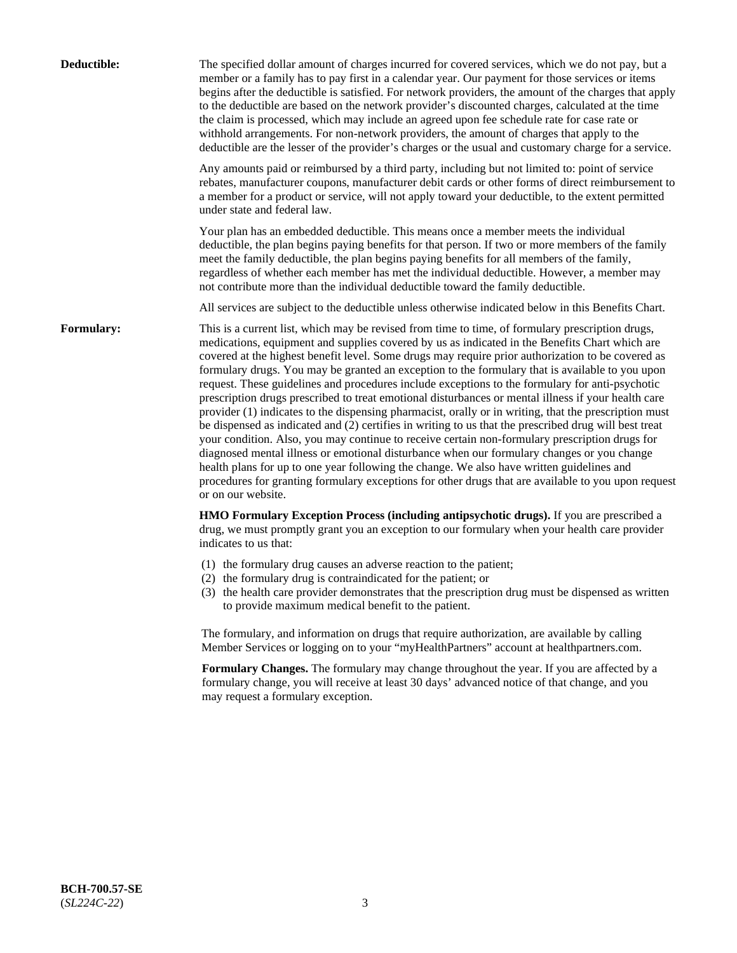| Deductible: | The specified dollar amount of charges incurred for covered services, which we do not pay, but a<br>member or a family has to pay first in a calendar year. Our payment for those services or items<br>begins after the deductible is satisfied. For network providers, the amount of the charges that apply<br>to the deductible are based on the network provider's discounted charges, calculated at the time<br>the claim is processed, which may include an agreed upon fee schedule rate for case rate or<br>withhold arrangements. For non-network providers, the amount of charges that apply to the<br>deductible are the lesser of the provider's charges or the usual and customary charge for a service.                                                                                                                                                                                                                                                                                                                                                                                                                                                                                                                                             |
|-------------|------------------------------------------------------------------------------------------------------------------------------------------------------------------------------------------------------------------------------------------------------------------------------------------------------------------------------------------------------------------------------------------------------------------------------------------------------------------------------------------------------------------------------------------------------------------------------------------------------------------------------------------------------------------------------------------------------------------------------------------------------------------------------------------------------------------------------------------------------------------------------------------------------------------------------------------------------------------------------------------------------------------------------------------------------------------------------------------------------------------------------------------------------------------------------------------------------------------------------------------------------------------|
|             | Any amounts paid or reimbursed by a third party, including but not limited to: point of service<br>rebates, manufacturer coupons, manufacturer debit cards or other forms of direct reimbursement to<br>a member for a product or service, will not apply toward your deductible, to the extent permitted<br>under state and federal law.                                                                                                                                                                                                                                                                                                                                                                                                                                                                                                                                                                                                                                                                                                                                                                                                                                                                                                                        |
|             | Your plan has an embedded deductible. This means once a member meets the individual<br>deductible, the plan begins paying benefits for that person. If two or more members of the family<br>meet the family deductible, the plan begins paying benefits for all members of the family,<br>regardless of whether each member has met the individual deductible. However, a member may<br>not contribute more than the individual deductible toward the family deductible.                                                                                                                                                                                                                                                                                                                                                                                                                                                                                                                                                                                                                                                                                                                                                                                         |
|             | All services are subject to the deductible unless otherwise indicated below in this Benefits Chart.                                                                                                                                                                                                                                                                                                                                                                                                                                                                                                                                                                                                                                                                                                                                                                                                                                                                                                                                                                                                                                                                                                                                                              |
| Formulary:  | This is a current list, which may be revised from time to time, of formulary prescription drugs,<br>medications, equipment and supplies covered by us as indicated in the Benefits Chart which are<br>covered at the highest benefit level. Some drugs may require prior authorization to be covered as<br>formulary drugs. You may be granted an exception to the formulary that is available to you upon<br>request. These guidelines and procedures include exceptions to the formulary for anti-psychotic<br>prescription drugs prescribed to treat emotional disturbances or mental illness if your health care<br>provider (1) indicates to the dispensing pharmacist, orally or in writing, that the prescription must<br>be dispensed as indicated and (2) certifies in writing to us that the prescribed drug will best treat<br>your condition. Also, you may continue to receive certain non-formulary prescription drugs for<br>diagnosed mental illness or emotional disturbance when our formulary changes or you change<br>health plans for up to one year following the change. We also have written guidelines and<br>procedures for granting formulary exceptions for other drugs that are available to you upon request<br>or on our website. |
|             | HMO Formulary Exception Process (including antipsychotic drugs). If you are prescribed a<br>drug, we must promptly grant you an exception to our formulary when your health care provider<br>indicates to us that:                                                                                                                                                                                                                                                                                                                                                                                                                                                                                                                                                                                                                                                                                                                                                                                                                                                                                                                                                                                                                                               |
|             | (1) the formulary drug causes an adverse reaction to the patient;<br>(2) the formulary drug is contraindicated for the patient; or<br>(3) the health care provider demonstrates that the prescription drug must be dispensed as written<br>to provide maximum medical benefit to the patient.                                                                                                                                                                                                                                                                                                                                                                                                                                                                                                                                                                                                                                                                                                                                                                                                                                                                                                                                                                    |
|             | The formulary, and information on drugs that require authorization, are available by calling<br>Member Services or logging on to your "myHealthPartners" account at healthpartners.com.                                                                                                                                                                                                                                                                                                                                                                                                                                                                                                                                                                                                                                                                                                                                                                                                                                                                                                                                                                                                                                                                          |
|             | Formulary Changes. The formulary may change throughout the year. If you are affected by a<br>formulary change, you will receive at least 30 days' advanced notice of that change, and you<br>may request a formulary exception.                                                                                                                                                                                                                                                                                                                                                                                                                                                                                                                                                                                                                                                                                                                                                                                                                                                                                                                                                                                                                                  |
|             |                                                                                                                                                                                                                                                                                                                                                                                                                                                                                                                                                                                                                                                                                                                                                                                                                                                                                                                                                                                                                                                                                                                                                                                                                                                                  |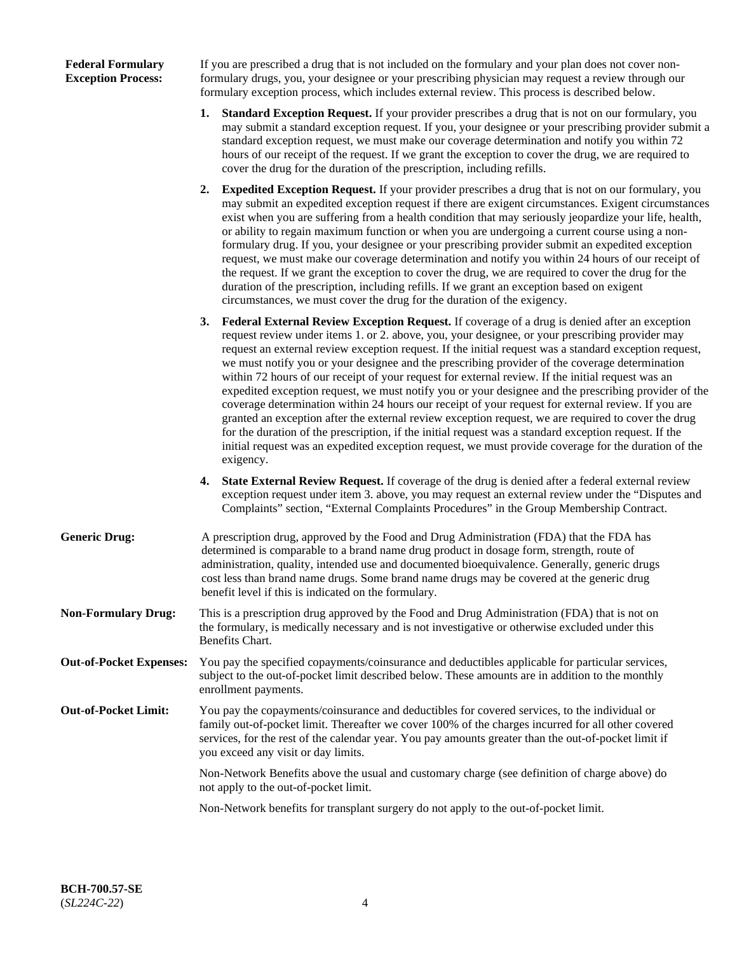### **Federal Formulary Exception Process:**

If you are prescribed a drug that is not included on the formulary and your plan does not cover nonformulary drugs, you, your designee or your prescribing physician may request a review through our formulary exception process, which includes external review. This process is described below.

- **1. Standard Exception Request.** If your provider prescribes a drug that is not on our formulary, you may submit a standard exception request. If you, your designee or your prescribing provider submit a standard exception request, we must make our coverage determination and notify you within 72 hours of our receipt of the request. If we grant the exception to cover the drug, we are required to cover the drug for the duration of the prescription, including refills.
- **2. Expedited Exception Request.** If your provider prescribes a drug that is not on our formulary, you may submit an expedited exception request if there are exigent circumstances. Exigent circumstances exist when you are suffering from a health condition that may seriously jeopardize your life, health, or ability to regain maximum function or when you are undergoing a current course using a nonformulary drug. If you, your designee or your prescribing provider submit an expedited exception request, we must make our coverage determination and notify you within 24 hours of our receipt of the request. If we grant the exception to cover the drug, we are required to cover the drug for the duration of the prescription, including refills. If we grant an exception based on exigent circumstances, we must cover the drug for the duration of the exigency.
- **3. Federal External Review Exception Request.** If coverage of a drug is denied after an exception request review under items 1. or 2. above, you, your designee, or your prescribing provider may request an external review exception request. If the initial request was a standard exception request, we must notify you or your designee and the prescribing provider of the coverage determination within 72 hours of our receipt of your request for external review. If the initial request was an expedited exception request, we must notify you or your designee and the prescribing provider of the coverage determination within 24 hours our receipt of your request for external review. If you are granted an exception after the external review exception request, we are required to cover the drug for the duration of the prescription, if the initial request was a standard exception request. If the initial request was an expedited exception request, we must provide coverage for the duration of the exigency.
- **4. State External Review Request.** If coverage of the drug is denied after a federal external review exception request under item 3. above, you may request an external review under the "Disputes and Complaints" section, "External Complaints Procedures" in the Group Membership Contract.
- **Generic Drug:** A prescription drug, approved by the Food and Drug Administration (FDA) that the FDA has determined is comparable to a brand name drug product in dosage form, strength, route of administration, quality, intended use and documented bioequivalence. Generally, generic drugs cost less than brand name drugs. Some brand name drugs may be covered at the generic drug benefit level if this is indicated on the formulary.
- **Non-Formulary Drug:** This is a prescription drug approved by the Food and Drug Administration (FDA) that is not on the formulary, is medically necessary and is not investigative or otherwise excluded under this Benefits Chart.
- **Out-of-Pocket Expenses:** You pay the specified copayments/coinsurance and deductibles applicable for particular services, subject to the out-of-pocket limit described below. These amounts are in addition to the monthly enrollment payments.
- **Out-of-Pocket Limit:** You pay the copayments/coinsurance and deductibles for covered services, to the individual or family out-of-pocket limit. Thereafter we cover 100% of the charges incurred for all other covered services, for the rest of the calendar year. You pay amounts greater than the out-of-pocket limit if you exceed any visit or day limits.

Non-Network Benefits above the usual and customary charge (see definition of charge above) do not apply to the out-of-pocket limit.

Non-Network benefits for transplant surgery do not apply to the out-of-pocket limit.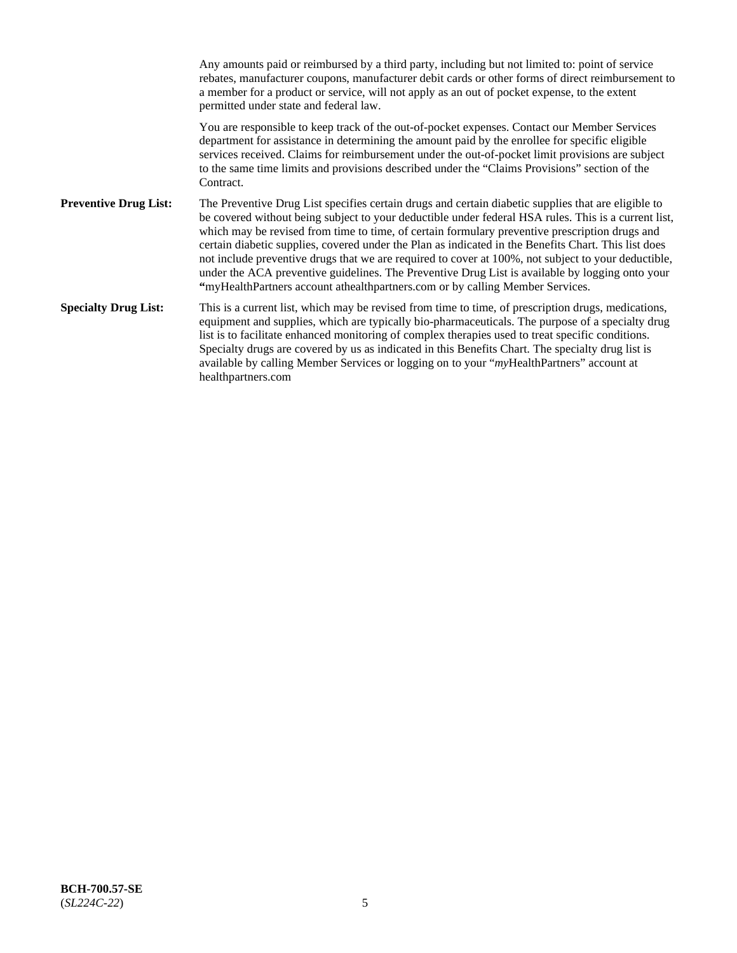Any amounts paid or reimbursed by a third party, including but not limited to: point of service rebates, manufacturer coupons, manufacturer debit cards or other forms of direct reimbursement to a member for a product or service, will not apply as an out of pocket expense, to the extent permitted under state and federal law. You are responsible to keep track of the out-of-pocket expenses. Contact our Member Services department for assistance in determining the amount paid by the enrollee for specific eligible services received. Claims for reimbursement under the out-of-pocket limit provisions are subject to the same time limits and provisions described under the "Claims Provisions" section of the **Contract Preventive Drug List:** The Preventive Drug List specifies certain drugs and certain diabetic supplies that are eligible to be covered without being subject to your deductible under federal HSA rules. This is a current list, which may be revised from time to time, of certain formulary preventive prescription drugs and certain diabetic supplies, covered under the Plan as indicated in the Benefits Chart. This list does not include preventive drugs that we are required to cover at 100%, not subject to your deductible, under the ACA preventive guidelines. The Preventive Drug List is available by logging onto your **"**myHealthPartners account athealthpartners.com or by calling Member Services. **Specialty Drug List:** This is a current list, which may be revised from time to time, of prescription drugs, medications, equipment and supplies, which are typically bio-pharmaceuticals. The purpose of a specialty drug list is to facilitate enhanced monitoring of complex therapies used to treat specific conditions. Specialty drugs are covered by us as indicated in this Benefits Chart. The specialty drug list is available by calling Member Services or logging on to your "*my*HealthPartners" account at [healthpartners.com](https://www.healthpartners.com/hp/index.html)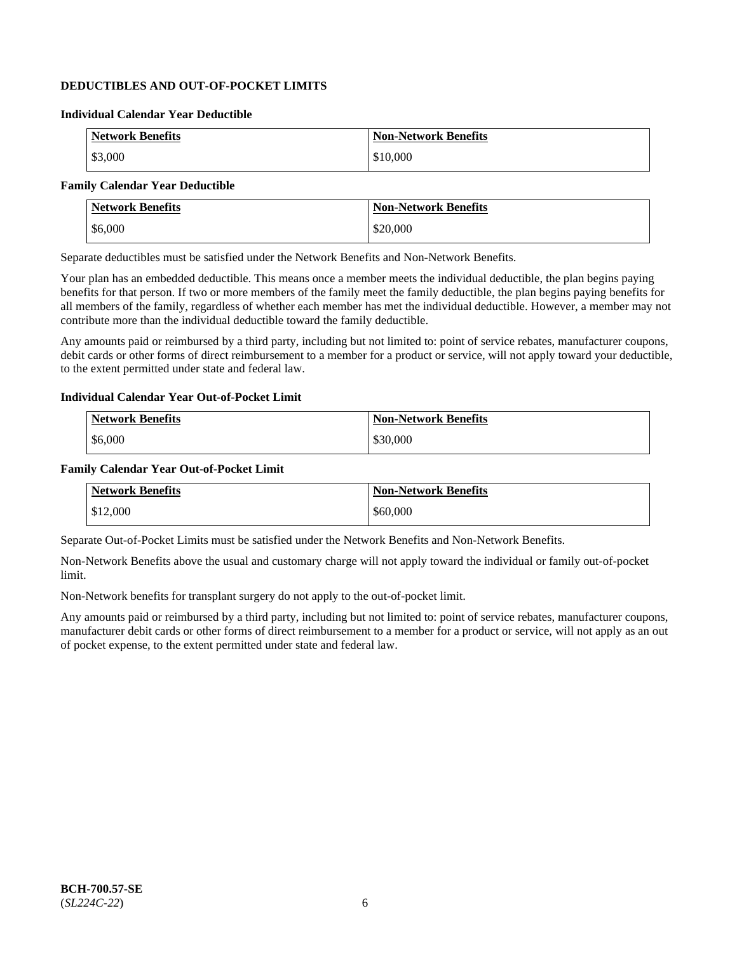## **DEDUCTIBLES AND OUT-OF-POCKET LIMITS**

### **Individual Calendar Year Deductible**

| <b>Network Benefits</b> | <b>Non-Network Benefits</b> |
|-------------------------|-----------------------------|
| \$3,000                 | \$10,000                    |

### **Family Calendar Year Deductible**

| Network Benefits | <b>Non-Network Benefits</b> |
|------------------|-----------------------------|
| \$6,000          | \$20,000                    |

Separate deductibles must be satisfied under the Network Benefits and Non-Network Benefits.

Your plan has an embedded deductible. This means once a member meets the individual deductible, the plan begins paying benefits for that person. If two or more members of the family meet the family deductible, the plan begins paying benefits for all members of the family, regardless of whether each member has met the individual deductible. However, a member may not contribute more than the individual deductible toward the family deductible.

Any amounts paid or reimbursed by a third party, including but not limited to: point of service rebates, manufacturer coupons, debit cards or other forms of direct reimbursement to a member for a product or service, will not apply toward your deductible, to the extent permitted under state and federal law.

#### **Individual Calendar Year Out-of-Pocket Limit**

| <b>Network Benefits</b> | <b>Non-Network Benefits</b> |
|-------------------------|-----------------------------|
| \$6,000                 | \$30,000                    |

#### **Family Calendar Year Out-of-Pocket Limit**

| <b>Network Benefits</b> | <b>Non-Network Benefits</b> |
|-------------------------|-----------------------------|
| \$12,000                | \$60,000                    |

Separate Out-of-Pocket Limits must be satisfied under the Network Benefits and Non-Network Benefits.

Non-Network Benefits above the usual and customary charge will not apply toward the individual or family out-of-pocket limit.

Non-Network benefits for transplant surgery do not apply to the out-of-pocket limit.

Any amounts paid or reimbursed by a third party, including but not limited to: point of service rebates, manufacturer coupons, manufacturer debit cards or other forms of direct reimbursement to a member for a product or service, will not apply as an out of pocket expense, to the extent permitted under state and federal law.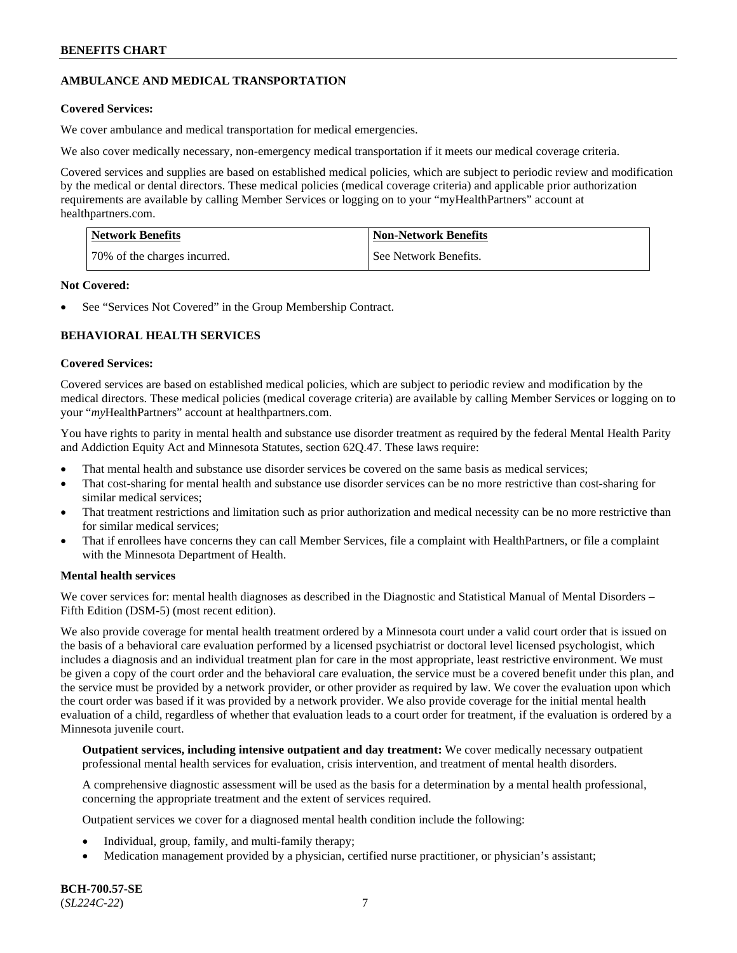## **AMBULANCE AND MEDICAL TRANSPORTATION**

### **Covered Services:**

We cover ambulance and medical transportation for medical emergencies.

We also cover medically necessary, non-emergency medical transportation if it meets our medical coverage criteria.

Covered services and supplies are based on established medical policies, which are subject to periodic review and modification by the medical or dental directors. These medical policies (medical coverage criteria) and applicable prior authorization requirements are available by calling Member Services or logging on to your "myHealthPartners" account at [healthpartners.com.](https://www.healthpartners.com/hp/index.html)

| Network Benefits             | <b>Non-Network Benefits</b> |
|------------------------------|-----------------------------|
| 70% of the charges incurred. | See Network Benefits.       |

#### **Not Covered:**

See "Services Not Covered" in the Group Membership Contract.

## **BEHAVIORAL HEALTH SERVICES**

#### **Covered Services:**

Covered services are based on established medical policies, which are subject to periodic review and modification by the medical directors. These medical policies (medical coverage criteria) are available by calling Member Services or logging on to your "*my*HealthPartners" account at [healthpartners.com.](http://www.healthpartners.com/)

You have rights to parity in mental health and substance use disorder treatment as required by the federal Mental Health Parity and Addiction Equity Act and Minnesota Statutes, section 62Q.47. These laws require:

- That mental health and substance use disorder services be covered on the same basis as medical services;
- That cost-sharing for mental health and substance use disorder services can be no more restrictive than cost-sharing for similar medical services;
- That treatment restrictions and limitation such as prior authorization and medical necessity can be no more restrictive than for similar medical services;
- That if enrollees have concerns they can call Member Services, file a complaint with HealthPartners, or file a complaint with the Minnesota Department of Health.

### **Mental health services**

We cover services for: mental health diagnoses as described in the Diagnostic and Statistical Manual of Mental Disorders – Fifth Edition (DSM-5) (most recent edition).

We also provide coverage for mental health treatment ordered by a Minnesota court under a valid court order that is issued on the basis of a behavioral care evaluation performed by a licensed psychiatrist or doctoral level licensed psychologist, which includes a diagnosis and an individual treatment plan for care in the most appropriate, least restrictive environment. We must be given a copy of the court order and the behavioral care evaluation, the service must be a covered benefit under this plan, and the service must be provided by a network provider, or other provider as required by law. We cover the evaluation upon which the court order was based if it was provided by a network provider. We also provide coverage for the initial mental health evaluation of a child, regardless of whether that evaluation leads to a court order for treatment, if the evaluation is ordered by a Minnesota juvenile court.

**Outpatient services, including intensive outpatient and day treatment:** We cover medically necessary outpatient professional mental health services for evaluation, crisis intervention, and treatment of mental health disorders.

A comprehensive diagnostic assessment will be used as the basis for a determination by a mental health professional, concerning the appropriate treatment and the extent of services required.

Outpatient services we cover for a diagnosed mental health condition include the following:

- Individual, group, family, and multi-family therapy;
- Medication management provided by a physician, certified nurse practitioner, or physician's assistant;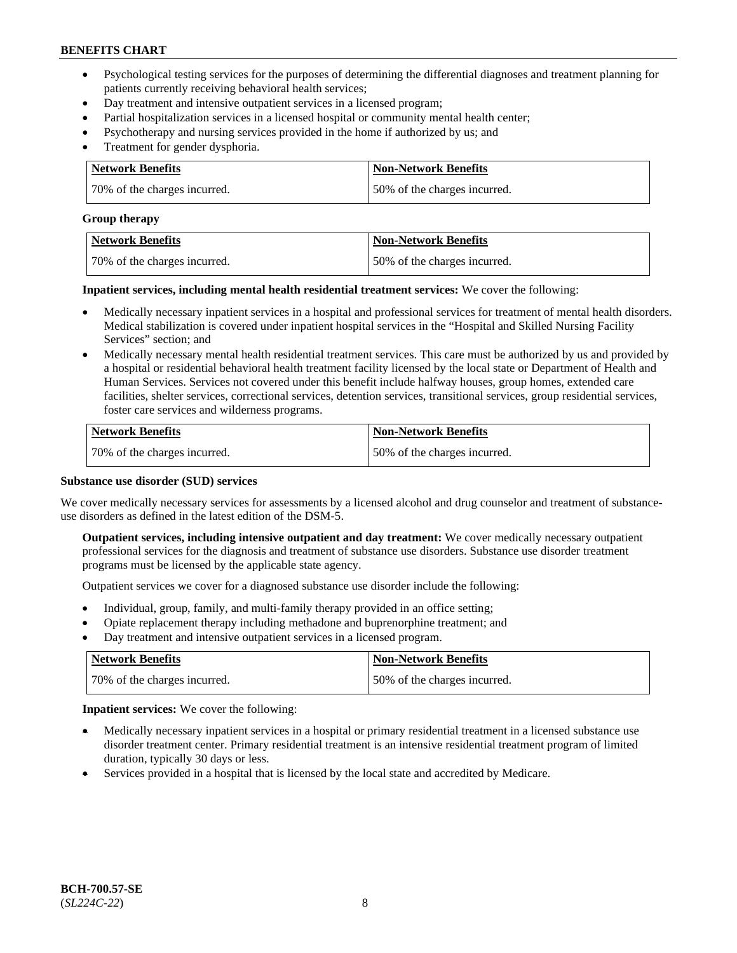- Psychological testing services for the purposes of determining the differential diagnoses and treatment planning for patients currently receiving behavioral health services;
- Day treatment and intensive outpatient services in a licensed program;
- Partial hospitalization services in a licensed hospital or community mental health center;
- Psychotherapy and nursing services provided in the home if authorized by us; and
- Treatment for gender dysphoria.

| Network Benefits             | Non-Network Benefits         |
|------------------------------|------------------------------|
| 70% of the charges incurred. | 50% of the charges incurred. |

#### **Group therapy**

| Network Benefits             | Non-Network Benefits         |
|------------------------------|------------------------------|
| 70% of the charges incurred. | 50% of the charges incurred. |

**Inpatient services, including mental health residential treatment services:** We cover the following:

- Medically necessary inpatient services in a hospital and professional services for treatment of mental health disorders. Medical stabilization is covered under inpatient hospital services in the "Hospital and Skilled Nursing Facility Services" section; and
- Medically necessary mental health residential treatment services. This care must be authorized by us and provided by a hospital or residential behavioral health treatment facility licensed by the local state or Department of Health and Human Services. Services not covered under this benefit include halfway houses, group homes, extended care facilities, shelter services, correctional services, detention services, transitional services, group residential services, foster care services and wilderness programs.

| Network Benefits             | <b>Non-Network Benefits</b>  |
|------------------------------|------------------------------|
| 70% of the charges incurred. | 50% of the charges incurred. |

### **Substance use disorder (SUD) services**

We cover medically necessary services for assessments by a licensed alcohol and drug counselor and treatment of substanceuse disorders as defined in the latest edition of the DSM-5.

**Outpatient services, including intensive outpatient and day treatment:** We cover medically necessary outpatient professional services for the diagnosis and treatment of substance use disorders. Substance use disorder treatment programs must be licensed by the applicable state agency.

Outpatient services we cover for a diagnosed substance use disorder include the following:

- Individual, group, family, and multi-family therapy provided in an office setting;
- Opiate replacement therapy including methadone and buprenorphine treatment; and
- Day treatment and intensive outpatient services in a licensed program.

| Network Benefits             | <b>Non-Network Benefits</b>  |
|------------------------------|------------------------------|
| 70% of the charges incurred. | 50% of the charges incurred. |

**Inpatient services:** We cover the following:

- Medically necessary inpatient services in a hospital or primary residential treatment in a licensed substance use disorder treatment center. Primary residential treatment is an intensive residential treatment program of limited duration, typically 30 days or less.
- Services provided in a hospital that is licensed by the local state and accredited by Medicare.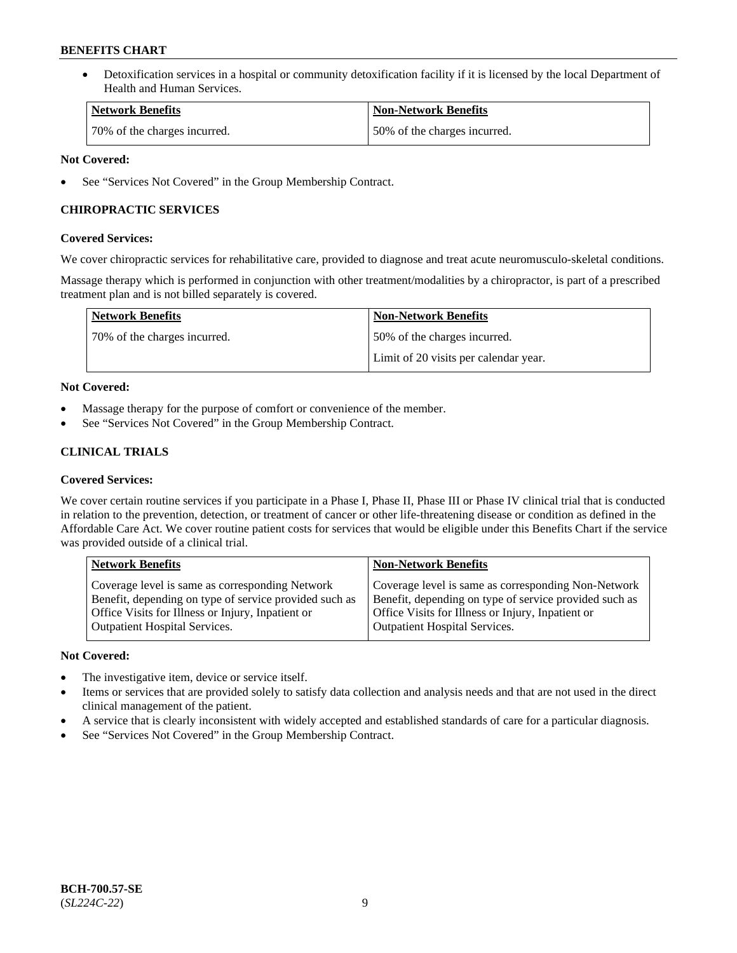• Detoxification services in a hospital or community detoxification facility if it is licensed by the local Department of Health and Human Services.

| <b>Network Benefits</b>      | <b>Non-Network Benefits</b>  |
|------------------------------|------------------------------|
| 70% of the charges incurred. | 50% of the charges incurred. |

### **Not Covered:**

See "Services Not Covered" in the Group Membership Contract.

### **CHIROPRACTIC SERVICES**

### **Covered Services:**

We cover chiropractic services for rehabilitative care, provided to diagnose and treat acute neuromusculo-skeletal conditions.

Massage therapy which is performed in conjunction with other treatment/modalities by a chiropractor, is part of a prescribed treatment plan and is not billed separately is covered.

| Network Benefits             | <b>Non-Network Benefits</b>           |
|------------------------------|---------------------------------------|
| 70% of the charges incurred. | 50% of the charges incurred.          |
|                              | Limit of 20 visits per calendar year. |

### **Not Covered:**

- Massage therapy for the purpose of comfort or convenience of the member.
- See "Services Not Covered" in the Group Membership Contract.

## **CLINICAL TRIALS**

### **Covered Services:**

We cover certain routine services if you participate in a Phase I, Phase II, Phase III or Phase IV clinical trial that is conducted in relation to the prevention, detection, or treatment of cancer or other life-threatening disease or condition as defined in the Affordable Care Act. We cover routine patient costs for services that would be eligible under this Benefits Chart if the service was provided outside of a clinical trial.

| <b>Network Benefits</b>                                                                                                                                                                                | <b>Non-Network Benefits</b>                                                                                                                                                                         |
|--------------------------------------------------------------------------------------------------------------------------------------------------------------------------------------------------------|-----------------------------------------------------------------------------------------------------------------------------------------------------------------------------------------------------|
| Coverage level is same as corresponding Network<br>Benefit, depending on type of service provided such as<br>Office Visits for Illness or Injury, Inpatient or<br><b>Outpatient Hospital Services.</b> | Coverage level is same as corresponding Non-Network<br>Benefit, depending on type of service provided such as<br>Office Visits for Illness or Injury, Inpatient or<br>Outpatient Hospital Services. |
|                                                                                                                                                                                                        |                                                                                                                                                                                                     |

### **Not Covered:**

- The investigative item, device or service itself.
- Items or services that are provided solely to satisfy data collection and analysis needs and that are not used in the direct clinical management of the patient.
- A service that is clearly inconsistent with widely accepted and established standards of care for a particular diagnosis.
- See "Services Not Covered" in the Group Membership Contract.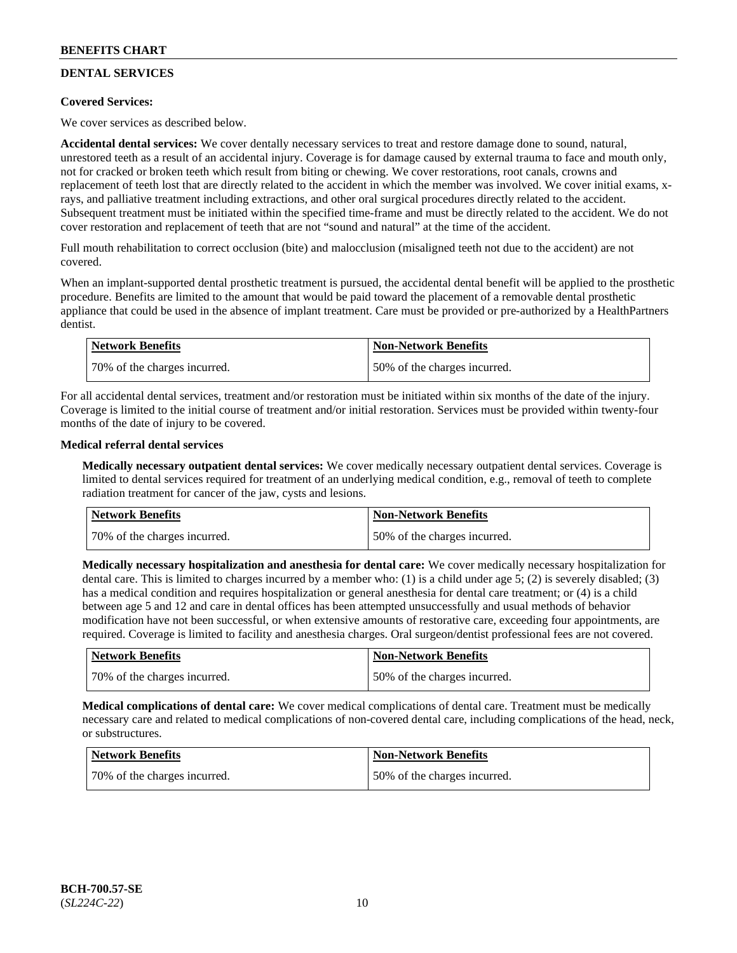## **DENTAL SERVICES**

### **Covered Services:**

We cover services as described below.

**Accidental dental services:** We cover dentally necessary services to treat and restore damage done to sound, natural, unrestored teeth as a result of an accidental injury. Coverage is for damage caused by external trauma to face and mouth only, not for cracked or broken teeth which result from biting or chewing. We cover restorations, root canals, crowns and replacement of teeth lost that are directly related to the accident in which the member was involved. We cover initial exams, xrays, and palliative treatment including extractions, and other oral surgical procedures directly related to the accident. Subsequent treatment must be initiated within the specified time-frame and must be directly related to the accident. We do not cover restoration and replacement of teeth that are not "sound and natural" at the time of the accident.

Full mouth rehabilitation to correct occlusion (bite) and malocclusion (misaligned teeth not due to the accident) are not covered.

When an implant-supported dental prosthetic treatment is pursued, the accidental dental benefit will be applied to the prosthetic procedure. Benefits are limited to the amount that would be paid toward the placement of a removable dental prosthetic appliance that could be used in the absence of implant treatment. Care must be provided or pre-authorized by a HealthPartners dentist.

| <b>Network Benefits</b>      | <b>Non-Network Benefits</b>  |
|------------------------------|------------------------------|
| 70% of the charges incurred. | 50% of the charges incurred. |

For all accidental dental services, treatment and/or restoration must be initiated within six months of the date of the injury. Coverage is limited to the initial course of treatment and/or initial restoration. Services must be provided within twenty-four months of the date of injury to be covered.

### **Medical referral dental services**

**Medically necessary outpatient dental services:** We cover medically necessary outpatient dental services. Coverage is limited to dental services required for treatment of an underlying medical condition, e.g., removal of teeth to complete radiation treatment for cancer of the jaw, cysts and lesions.

| Network Benefits             | <b>Non-Network Benefits</b>  |
|------------------------------|------------------------------|
| 70% of the charges incurred. | 50% of the charges incurred. |

**Medically necessary hospitalization and anesthesia for dental care:** We cover medically necessary hospitalization for dental care. This is limited to charges incurred by a member who: (1) is a child under age 5; (2) is severely disabled; (3) has a medical condition and requires hospitalization or general anesthesia for dental care treatment; or (4) is a child between age 5 and 12 and care in dental offices has been attempted unsuccessfully and usual methods of behavior modification have not been successful, or when extensive amounts of restorative care, exceeding four appointments, are required. Coverage is limited to facility and anesthesia charges. Oral surgeon/dentist professional fees are not covered.

| <b>Network Benefits</b>      | <b>Non-Network Benefits</b>  |
|------------------------------|------------------------------|
| 70% of the charges incurred. | 50% of the charges incurred. |

**Medical complications of dental care:** We cover medical complications of dental care. Treatment must be medically necessary care and related to medical complications of non-covered dental care, including complications of the head, neck, or substructures.

| Network Benefits             | <b>Non-Network Benefits</b>  |
|------------------------------|------------------------------|
| 70% of the charges incurred. | 50% of the charges incurred. |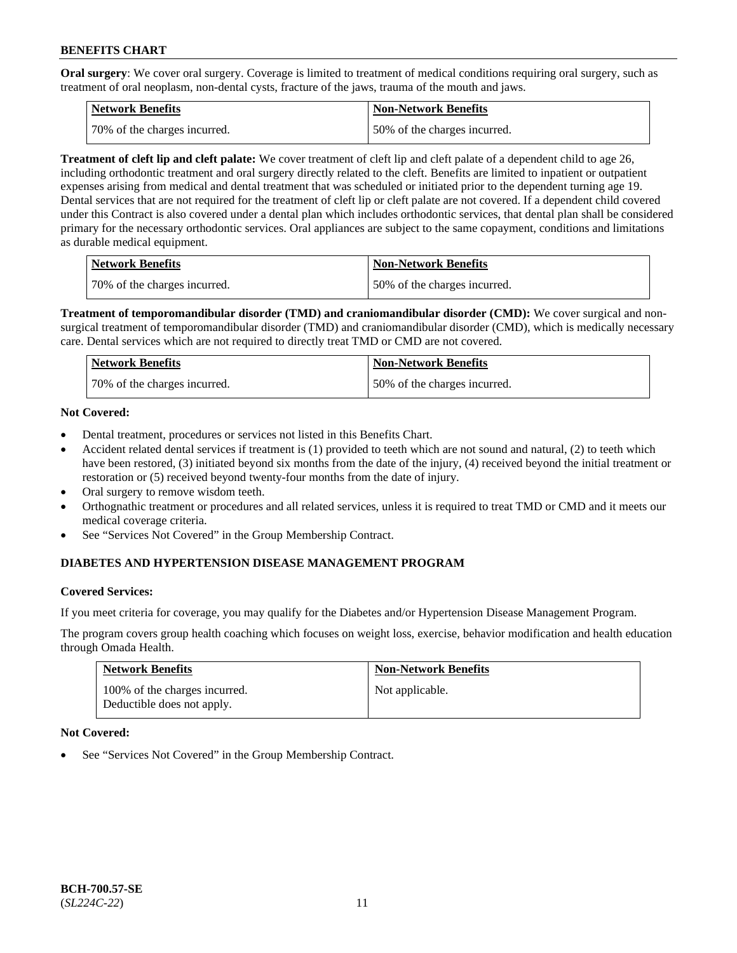**Oral surgery**: We cover oral surgery. Coverage is limited to treatment of medical conditions requiring oral surgery, such as treatment of oral neoplasm, non-dental cysts, fracture of the jaws, trauma of the mouth and jaws.

| Network Benefits             | <b>Non-Network Benefits</b>  |
|------------------------------|------------------------------|
| 70% of the charges incurred. | 50% of the charges incurred. |

**Treatment of cleft lip and cleft palate:** We cover treatment of cleft lip and cleft palate of a dependent child to age 26, including orthodontic treatment and oral surgery directly related to the cleft. Benefits are limited to inpatient or outpatient expenses arising from medical and dental treatment that was scheduled or initiated prior to the dependent turning age 19. Dental services that are not required for the treatment of cleft lip or cleft palate are not covered. If a dependent child covered under this Contract is also covered under a dental plan which includes orthodontic services, that dental plan shall be considered primary for the necessary orthodontic services. Oral appliances are subject to the same copayment, conditions and limitations as durable medical equipment.

| <b>Network Benefits</b>      | <b>Non-Network Benefits</b>  |
|------------------------------|------------------------------|
| 70% of the charges incurred. | 50% of the charges incurred. |

**Treatment of temporomandibular disorder (TMD) and craniomandibular disorder (CMD):** We cover surgical and nonsurgical treatment of temporomandibular disorder (TMD) and craniomandibular disorder (CMD), which is medically necessary care. Dental services which are not required to directly treat TMD or CMD are not covered.

| <b>Network Benefits</b>      | <b>Non-Network Benefits</b>  |
|------------------------------|------------------------------|
| 70% of the charges incurred. | 50% of the charges incurred. |

### **Not Covered:**

- Dental treatment, procedures or services not listed in this Benefits Chart.
- Accident related dental services if treatment is (1) provided to teeth which are not sound and natural, (2) to teeth which have been restored, (3) initiated beyond six months from the date of the injury, (4) received beyond the initial treatment or restoration or (5) received beyond twenty-four months from the date of injury.
- Oral surgery to remove wisdom teeth.
- Orthognathic treatment or procedures and all related services, unless it is required to treat TMD or CMD and it meets our medical coverage criteria.
- See "Services Not Covered" in the Group Membership Contract.

### **DIABETES AND HYPERTENSION DISEASE MANAGEMENT PROGRAM**

### **Covered Services:**

If you meet criteria for coverage, you may qualify for the Diabetes and/or Hypertension Disease Management Program.

The program covers group health coaching which focuses on weight loss, exercise, behavior modification and health education through Omada Health.

| <b>Network Benefits</b>                                     | <b>Non-Network Benefits</b> |
|-------------------------------------------------------------|-----------------------------|
| 100% of the charges incurred.<br>Deductible does not apply. | Not applicable.             |

### **Not Covered:**

See "Services Not Covered" in the Group Membership Contract.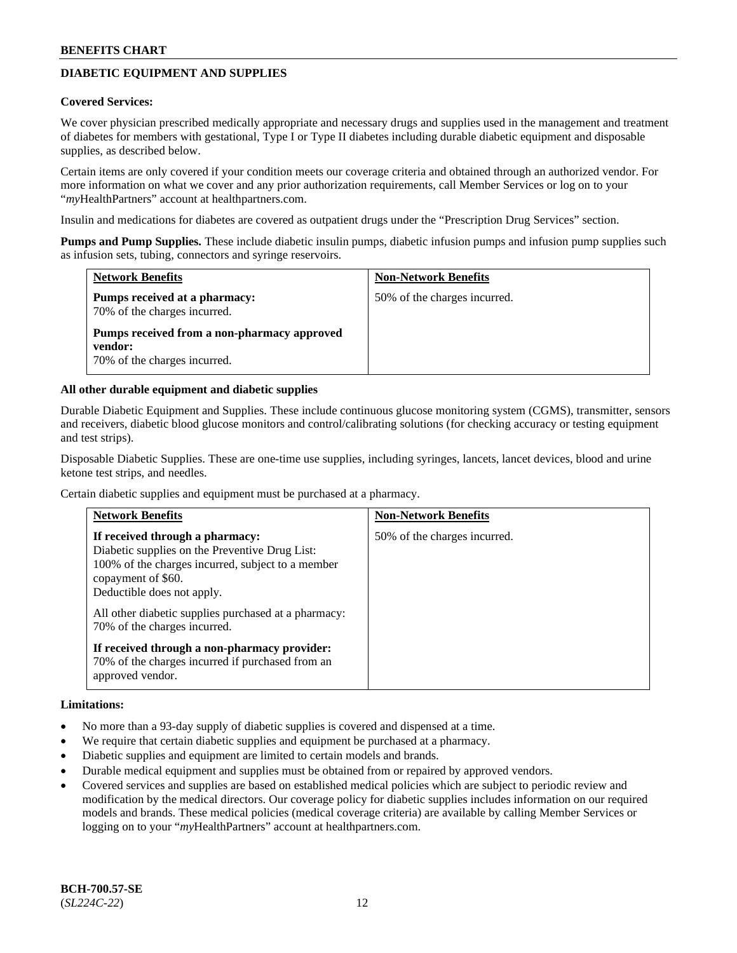## **DIABETIC EQUIPMENT AND SUPPLIES**

#### **Covered Services:**

We cover physician prescribed medically appropriate and necessary drugs and supplies used in the management and treatment of diabetes for members with gestational, Type I or Type II diabetes including durable diabetic equipment and disposable supplies, as described below.

Certain items are only covered if your condition meets our coverage criteria and obtained through an authorized vendor. For more information on what we cover and any prior authorization requirements, call Member Services or log on to your "*my*HealthPartners" account at [healthpartners.com.](http://www.healthpartners.com/)

Insulin and medications for diabetes are covered as outpatient drugs under the "Prescription Drug Services" section.

**Pumps and Pump Supplies.** These include diabetic insulin pumps, diabetic infusion pumps and infusion pump supplies such as infusion sets, tubing, connectors and syringe reservoirs.

| <b>Network Benefits</b>                                                                | <b>Non-Network Benefits</b>  |
|----------------------------------------------------------------------------------------|------------------------------|
| Pumps received at a pharmacy:<br>70% of the charges incurred.                          | 50% of the charges incurred. |
| Pumps received from a non-pharmacy approved<br>vendor:<br>70% of the charges incurred. |                              |

#### **All other durable equipment and diabetic supplies**

Durable Diabetic Equipment and Supplies. These include continuous glucose monitoring system (CGMS), transmitter, sensors and receivers, diabetic blood glucose monitors and control/calibrating solutions (for checking accuracy or testing equipment and test strips).

Disposable Diabetic Supplies. These are one-time use supplies, including syringes, lancets, lancet devices, blood and urine ketone test strips, and needles.

Certain diabetic supplies and equipment must be purchased at a pharmacy.

| <b>Network Benefits</b>                                                                                                                                                                    | <b>Non-Network Benefits</b>  |
|--------------------------------------------------------------------------------------------------------------------------------------------------------------------------------------------|------------------------------|
| If received through a pharmacy:<br>Diabetic supplies on the Preventive Drug List:<br>100% of the charges incurred, subject to a member<br>copayment of \$60.<br>Deductible does not apply. | 50% of the charges incurred. |
| All other diabetic supplies purchased at a pharmacy:<br>70% of the charges incurred.                                                                                                       |                              |
| If received through a non-pharmacy provider:<br>70% of the charges incurred if purchased from an<br>approved vendor.                                                                       |                              |

#### **Limitations:**

- No more than a 93-day supply of diabetic supplies is covered and dispensed at a time.
- We require that certain diabetic supplies and equipment be purchased at a pharmacy.
- Diabetic supplies and equipment are limited to certain models and brands.
- Durable medical equipment and supplies must be obtained from or repaired by approved vendors.
- Covered services and supplies are based on established medical policies which are subject to periodic review and modification by the medical directors. Our coverage policy for diabetic supplies includes information on our required models and brands. These medical policies (medical coverage criteria) are available by calling Member Services or logging on to your "*my*HealthPartners" account at [healthpartners.com.](http://www.healthpartners.com/)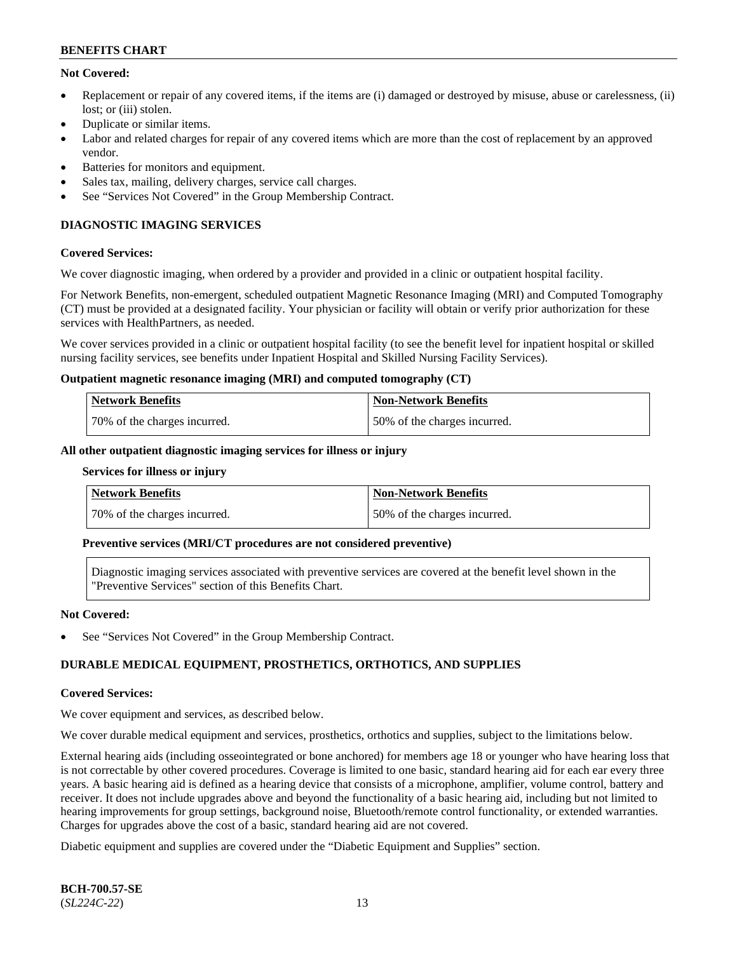### **Not Covered:**

- Replacement or repair of any covered items, if the items are (i) damaged or destroyed by misuse, abuse or carelessness, (ii) lost: or (iii) stolen.
- Duplicate or similar items.
- Labor and related charges for repair of any covered items which are more than the cost of replacement by an approved vendor.
- Batteries for monitors and equipment.
- Sales tax, mailing, delivery charges, service call charges.
- See "Services Not Covered" in the Group Membership Contract.

## **DIAGNOSTIC IMAGING SERVICES**

#### **Covered Services:**

We cover diagnostic imaging, when ordered by a provider and provided in a clinic or outpatient hospital facility.

For Network Benefits, non-emergent, scheduled outpatient Magnetic Resonance Imaging (MRI) and Computed Tomography (CT) must be provided at a designated facility. Your physician or facility will obtain or verify prior authorization for these services with HealthPartners, as needed.

We cover services provided in a clinic or outpatient hospital facility (to see the benefit level for inpatient hospital or skilled nursing facility services, see benefits under Inpatient Hospital and Skilled Nursing Facility Services).

#### **Outpatient magnetic resonance imaging (MRI) and computed tomography (CT)**

| Network Benefits             | <b>Non-Network Benefits</b>  |
|------------------------------|------------------------------|
| 70% of the charges incurred. | 50% of the charges incurred. |

#### **All other outpatient diagnostic imaging services for illness or injury**

#### **Services for illness or injury**

| Network Benefits             | <b>Non-Network Benefits</b>  |
|------------------------------|------------------------------|
| 70% of the charges incurred. | 50% of the charges incurred. |

#### **Preventive services (MRI/CT procedures are not considered preventive)**

Diagnostic imaging services associated with preventive services are covered at the benefit level shown in the "Preventive Services" section of this Benefits Chart.

#### **Not Covered:**

See "Services Not Covered" in the Group Membership Contract.

### **DURABLE MEDICAL EQUIPMENT, PROSTHETICS, ORTHOTICS, AND SUPPLIES**

#### **Covered Services:**

We cover equipment and services, as described below.

We cover durable medical equipment and services, prosthetics, orthotics and supplies, subject to the limitations below.

External hearing aids (including osseointegrated or bone anchored) for members age 18 or younger who have hearing loss that is not correctable by other covered procedures. Coverage is limited to one basic, standard hearing aid for each ear every three years. A basic hearing aid is defined as a hearing device that consists of a microphone, amplifier, volume control, battery and receiver. It does not include upgrades above and beyond the functionality of a basic hearing aid, including but not limited to hearing improvements for group settings, background noise, Bluetooth/remote control functionality, or extended warranties. Charges for upgrades above the cost of a basic, standard hearing aid are not covered.

Diabetic equipment and supplies are covered under the "Diabetic Equipment and Supplies" section.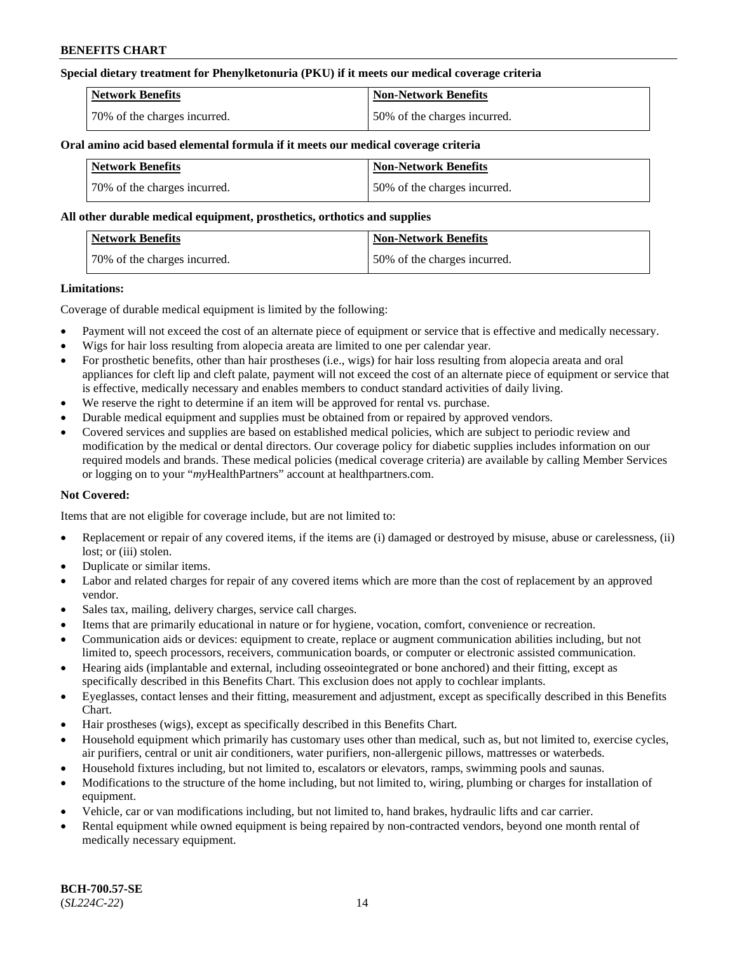### **Special dietary treatment for Phenylketonuria (PKU) if it meets our medical coverage criteria**

| <b>Network Benefits</b>      | <b>Non-Network Benefits</b>  |
|------------------------------|------------------------------|
| 70% of the charges incurred. | 50% of the charges incurred. |

#### **Oral amino acid based elemental formula if it meets our medical coverage criteria**

| Network Benefits             | <b>Non-Network Benefits</b>  |
|------------------------------|------------------------------|
| 70% of the charges incurred. | 50% of the charges incurred. |

#### **All other durable medical equipment, prosthetics, orthotics and supplies**

| Network Benefits             | <b>Non-Network Benefits</b>  |
|------------------------------|------------------------------|
| 70% of the charges incurred. | 50% of the charges incurred. |

#### **Limitations:**

Coverage of durable medical equipment is limited by the following:

- Payment will not exceed the cost of an alternate piece of equipment or service that is effective and medically necessary.
- Wigs for hair loss resulting from alopecia areata are limited to one per calendar year.
- For prosthetic benefits, other than hair prostheses (i.e., wigs) for hair loss resulting from alopecia areata and oral appliances for cleft lip and cleft palate, payment will not exceed the cost of an alternate piece of equipment or service that is effective, medically necessary and enables members to conduct standard activities of daily living.
- We reserve the right to determine if an item will be approved for rental vs. purchase.
- Durable medical equipment and supplies must be obtained from or repaired by approved vendors.
- Covered services and supplies are based on established medical policies, which are subject to periodic review and modification by the medical or dental directors. Our coverage policy for diabetic supplies includes information on our required models and brands. These medical policies (medical coverage criteria) are available by calling Member Services or logging on to your "*my*HealthPartners" account a[t healthpartners.com.](https://www.healthpartners.com/hp/index.html)

### **Not Covered:**

Items that are not eligible for coverage include, but are not limited to:

- Replacement or repair of any covered items, if the items are (i) damaged or destroyed by misuse, abuse or carelessness, (ii) lost; or (iii) stolen.
- Duplicate or similar items.
- Labor and related charges for repair of any covered items which are more than the cost of replacement by an approved vendor.
- Sales tax, mailing, delivery charges, service call charges.
- Items that are primarily educational in nature or for hygiene, vocation, comfort, convenience or recreation.
- Communication aids or devices: equipment to create, replace or augment communication abilities including, but not limited to, speech processors, receivers, communication boards, or computer or electronic assisted communication.
- Hearing aids (implantable and external, including osseointegrated or bone anchored) and their fitting, except as specifically described in this Benefits Chart. This exclusion does not apply to cochlear implants.
- Eyeglasses, contact lenses and their fitting, measurement and adjustment, except as specifically described in this Benefits Chart.
- Hair prostheses (wigs), except as specifically described in this Benefits Chart.
- Household equipment which primarily has customary uses other than medical, such as, but not limited to, exercise cycles, air purifiers, central or unit air conditioners, water purifiers, non-allergenic pillows, mattresses or waterbeds.
- Household fixtures including, but not limited to, escalators or elevators, ramps, swimming pools and saunas.
- Modifications to the structure of the home including, but not limited to, wiring, plumbing or charges for installation of equipment.
- Vehicle, car or van modifications including, but not limited to, hand brakes, hydraulic lifts and car carrier.
- Rental equipment while owned equipment is being repaired by non-contracted vendors, beyond one month rental of medically necessary equipment.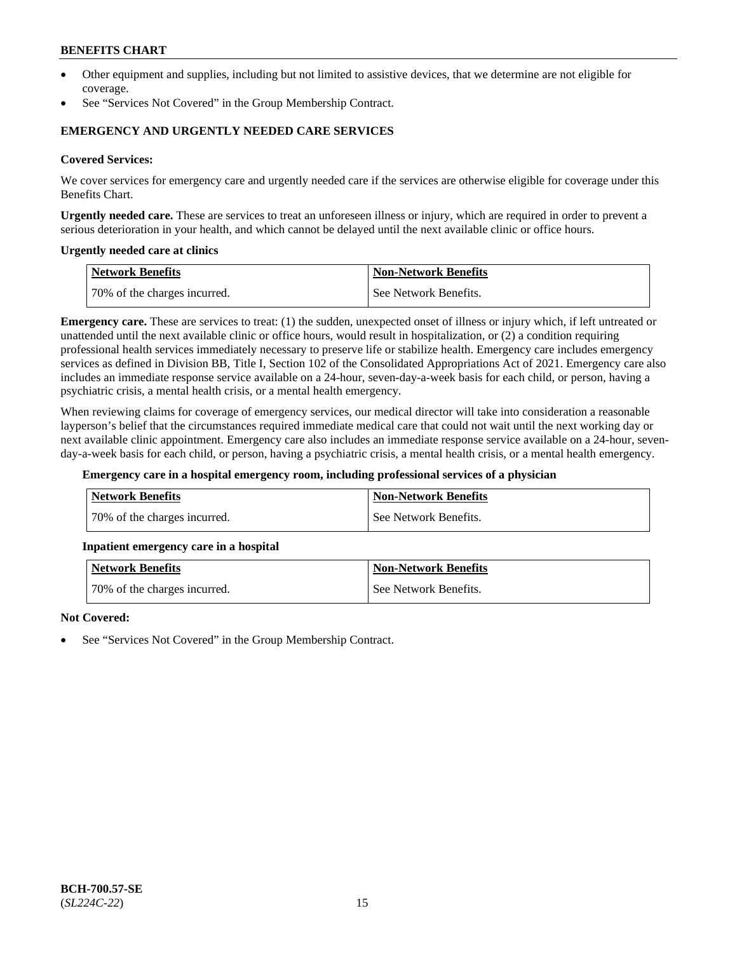- Other equipment and supplies, including but not limited to assistive devices, that we determine are not eligible for coverage.
- See "Services Not Covered" in the Group Membership Contract.

### **EMERGENCY AND URGENTLY NEEDED CARE SERVICES**

#### **Covered Services:**

We cover services for emergency care and urgently needed care if the services are otherwise eligible for coverage under this Benefits Chart.

**Urgently needed care.** These are services to treat an unforeseen illness or injury, which are required in order to prevent a serious deterioration in your health, and which cannot be delayed until the next available clinic or office hours.

#### **Urgently needed care at clinics**

| Network Benefits             | Non-Network Benefits  |
|------------------------------|-----------------------|
| 70% of the charges incurred. | See Network Benefits. |

**Emergency care.** These are services to treat: (1) the sudden, unexpected onset of illness or injury which, if left untreated or unattended until the next available clinic or office hours, would result in hospitalization, or (2) a condition requiring professional health services immediately necessary to preserve life or stabilize health. Emergency care includes emergency services as defined in Division BB, Title I, Section 102 of the Consolidated Appropriations Act of 2021. Emergency care also includes an immediate response service available on a 24-hour, seven-day-a-week basis for each child, or person, having a psychiatric crisis, a mental health crisis, or a mental health emergency.

When reviewing claims for coverage of emergency services, our medical director will take into consideration a reasonable layperson's belief that the circumstances required immediate medical care that could not wait until the next working day or next available clinic appointment. Emergency care also includes an immediate response service available on a 24-hour, sevenday-a-week basis for each child, or person, having a psychiatric crisis, a mental health crisis, or a mental health emergency.

#### **Emergency care in a hospital emergency room, including professional services of a physician**

| <b>Network Benefits</b>       | <b>Non-Network Benefits</b> |
|-------------------------------|-----------------------------|
| 170% of the charges incurred. | See Network Benefits.       |

#### **Inpatient emergency care in a hospital**

| <b>Network Benefits</b>      | <b>Non-Network Benefits</b> |
|------------------------------|-----------------------------|
| 70% of the charges incurred. | See Network Benefits.       |

#### **Not Covered:**

See "Services Not Covered" in the Group Membership Contract.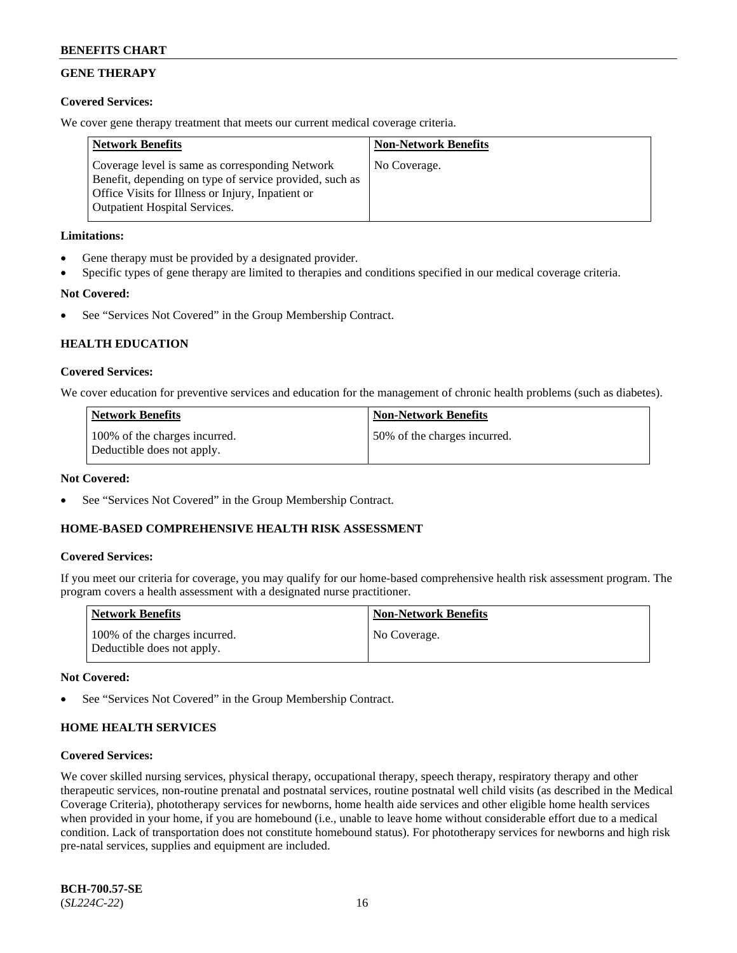## **GENE THERAPY**

### **Covered Services:**

We cover gene therapy treatment that meets our current medical coverage criteria.

| <b>Network Benefits</b>                                                                                                                                                                                 | <b>Non-Network Benefits</b> |
|---------------------------------------------------------------------------------------------------------------------------------------------------------------------------------------------------------|-----------------------------|
| Coverage level is same as corresponding Network<br>Benefit, depending on type of service provided, such as<br>Office Visits for Illness or Injury, Inpatient or<br><b>Outpatient Hospital Services.</b> | No Coverage.                |

### **Limitations:**

- Gene therapy must be provided by a designated provider.
- Specific types of gene therapy are limited to therapies and conditions specified in our medical coverage criteria.

### **Not Covered:**

See "Services Not Covered" in the Group Membership Contract.

### **HEALTH EDUCATION**

#### **Covered Services:**

We cover education for preventive services and education for the management of chronic health problems (such as diabetes).

| <b>Network Benefits</b>                                     | <b>Non-Network Benefits</b>  |
|-------------------------------------------------------------|------------------------------|
| 100% of the charges incurred.<br>Deductible does not apply. | 50% of the charges incurred. |

#### **Not Covered:**

See "Services Not Covered" in the Group Membership Contract.

### **HOME-BASED COMPREHENSIVE HEALTH RISK ASSESSMENT**

#### **Covered Services:**

If you meet our criteria for coverage, you may qualify for our home-based comprehensive health risk assessment program. The program covers a health assessment with a designated nurse practitioner.

| <b>Network Benefits</b>                                     | <b>Non-Network Benefits</b> |
|-------------------------------------------------------------|-----------------------------|
| 100% of the charges incurred.<br>Deductible does not apply. | No Coverage.                |

#### **Not Covered:**

See "Services Not Covered" in the Group Membership Contract.

## **HOME HEALTH SERVICES**

#### **Covered Services:**

We cover skilled nursing services, physical therapy, occupational therapy, speech therapy, respiratory therapy and other therapeutic services, non-routine prenatal and postnatal services, routine postnatal well child visits (as described in the Medical Coverage Criteria), phototherapy services for newborns, home health aide services and other eligible home health services when provided in your home, if you are homebound (i.e., unable to leave home without considerable effort due to a medical condition. Lack of transportation does not constitute homebound status). For phototherapy services for newborns and high risk pre-natal services, supplies and equipment are included.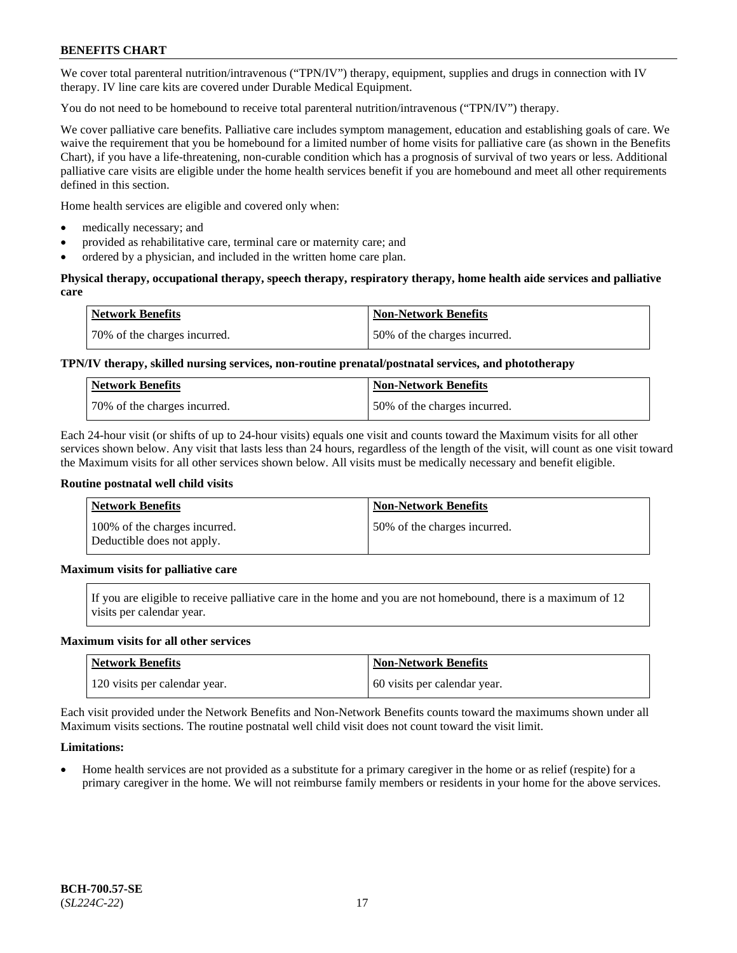We cover total parenteral nutrition/intravenous ("TPN/IV") therapy, equipment, supplies and drugs in connection with IV therapy. IV line care kits are covered under Durable Medical Equipment.

You do not need to be homebound to receive total parenteral nutrition/intravenous ("TPN/IV") therapy.

We cover palliative care benefits. Palliative care includes symptom management, education and establishing goals of care. We waive the requirement that you be homebound for a limited number of home visits for palliative care (as shown in the Benefits Chart), if you have a life-threatening, non-curable condition which has a prognosis of survival of two years or less. Additional palliative care visits are eligible under the home health services benefit if you are homebound and meet all other requirements defined in this section.

Home health services are eligible and covered only when:

- medically necessary; and
- provided as rehabilitative care, terminal care or maternity care; and
- ordered by a physician, and included in the written home care plan.

### **Physical therapy, occupational therapy, speech therapy, respiratory therapy, home health aide services and palliative care**

| <b>Network Benefits</b>      | <b>Non-Network Benefits</b>  |
|------------------------------|------------------------------|
| 70% of the charges incurred. | 50% of the charges incurred. |

## **TPN/IV therapy, skilled nursing services, non-routine prenatal/postnatal services, and phototherapy**

| <b>Network Benefits</b>      | <b>Non-Network Benefits</b>  |
|------------------------------|------------------------------|
| 70% of the charges incurred. | 50% of the charges incurred. |

Each 24-hour visit (or shifts of up to 24-hour visits) equals one visit and counts toward the Maximum visits for all other services shown below. Any visit that lasts less than 24 hours, regardless of the length of the visit, will count as one visit toward the Maximum visits for all other services shown below. All visits must be medically necessary and benefit eligible.

#### **Routine postnatal well child visits**

| <b>Network Benefits</b>                                     | <b>Non-Network Benefits</b>  |
|-------------------------------------------------------------|------------------------------|
| 100% of the charges incurred.<br>Deductible does not apply. | 50% of the charges incurred. |

### **Maximum visits for palliative care**

If you are eligible to receive palliative care in the home and you are not homebound, there is a maximum of 12 visits per calendar year.

#### **Maximum visits for all other services**

| <b>Network Benefits</b>       | <b>Non-Network Benefits</b>  |
|-------------------------------|------------------------------|
| 120 visits per calendar year. | 60 visits per calendar year. |

Each visit provided under the Network Benefits and Non-Network Benefits counts toward the maximums shown under all Maximum visits sections. The routine postnatal well child visit does not count toward the visit limit.

### **Limitations:**

• Home health services are not provided as a substitute for a primary caregiver in the home or as relief (respite) for a primary caregiver in the home. We will not reimburse family members or residents in your home for the above services.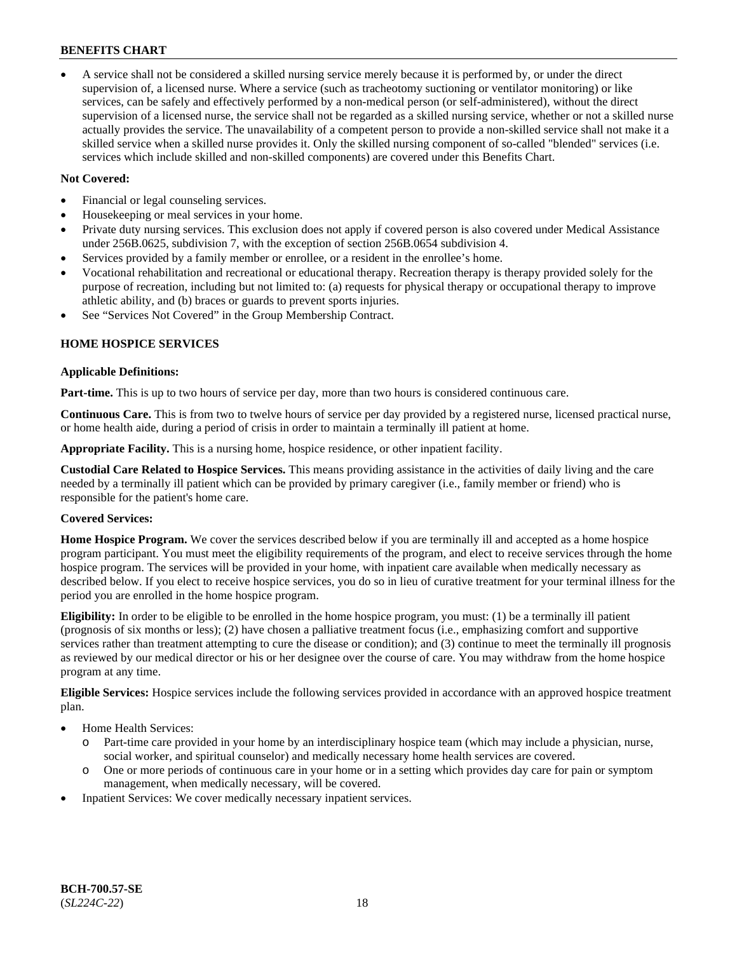• A service shall not be considered a skilled nursing service merely because it is performed by, or under the direct supervision of, a licensed nurse. Where a service (such as tracheotomy suctioning or ventilator monitoring) or like services, can be safely and effectively performed by a non-medical person (or self-administered), without the direct supervision of a licensed nurse, the service shall not be regarded as a skilled nursing service, whether or not a skilled nurse actually provides the service. The unavailability of a competent person to provide a non-skilled service shall not make it a skilled service when a skilled nurse provides it. Only the skilled nursing component of so-called "blended" services (i.e. services which include skilled and non-skilled components) are covered under this Benefits Chart.

### **Not Covered:**

- Financial or legal counseling services.
- Housekeeping or meal services in your home.
- Private duty nursing services. This exclusion does not apply if covered person is also covered under Medical Assistance under 256B.0625, subdivision 7, with the exception of section 256B.0654 subdivision 4.
- Services provided by a family member or enrollee, or a resident in the enrollee's home.
- Vocational rehabilitation and recreational or educational therapy. Recreation therapy is therapy provided solely for the purpose of recreation, including but not limited to: (a) requests for physical therapy or occupational therapy to improve athletic ability, and (b) braces or guards to prevent sports injuries.
- See "Services Not Covered" in the Group Membership Contract.

### **HOME HOSPICE SERVICES**

#### **Applicable Definitions:**

**Part-time.** This is up to two hours of service per day, more than two hours is considered continuous care.

**Continuous Care.** This is from two to twelve hours of service per day provided by a registered nurse, licensed practical nurse, or home health aide, during a period of crisis in order to maintain a terminally ill patient at home.

**Appropriate Facility.** This is a nursing home, hospice residence, or other inpatient facility.

**Custodial Care Related to Hospice Services.** This means providing assistance in the activities of daily living and the care needed by a terminally ill patient which can be provided by primary caregiver (i.e., family member or friend) who is responsible for the patient's home care.

### **Covered Services:**

**Home Hospice Program.** We cover the services described below if you are terminally ill and accepted as a home hospice program participant. You must meet the eligibility requirements of the program, and elect to receive services through the home hospice program. The services will be provided in your home, with inpatient care available when medically necessary as described below. If you elect to receive hospice services, you do so in lieu of curative treatment for your terminal illness for the period you are enrolled in the home hospice program.

**Eligibility:** In order to be eligible to be enrolled in the home hospice program, you must: (1) be a terminally ill patient (prognosis of six months or less); (2) have chosen a palliative treatment focus (i.e., emphasizing comfort and supportive services rather than treatment attempting to cure the disease or condition); and (3) continue to meet the terminally ill prognosis as reviewed by our medical director or his or her designee over the course of care. You may withdraw from the home hospice program at any time.

**Eligible Services:** Hospice services include the following services provided in accordance with an approved hospice treatment plan.

- Home Health Services:
	- o Part-time care provided in your home by an interdisciplinary hospice team (which may include a physician, nurse, social worker, and spiritual counselor) and medically necessary home health services are covered.
	- o One or more periods of continuous care in your home or in a setting which provides day care for pain or symptom management, when medically necessary, will be covered.
- Inpatient Services: We cover medically necessary inpatient services.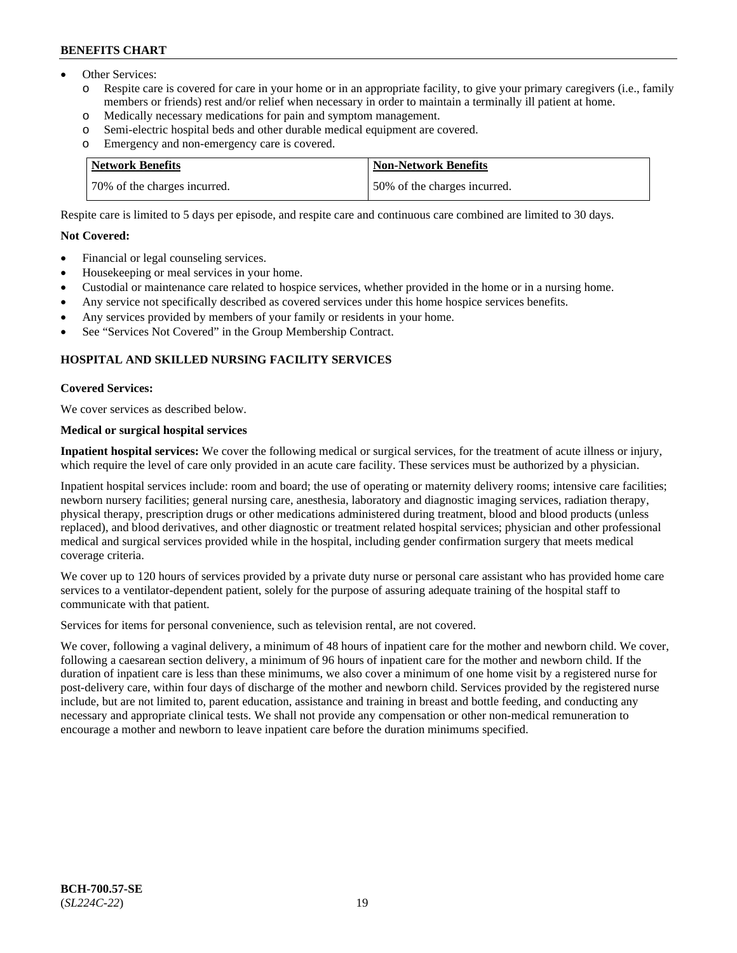- Other Services:
	- Respite care is covered for care in your home or in an appropriate facility, to give your primary caregivers (i.e., family members or friends) rest and/or relief when necessary in order to maintain a terminally ill patient at home.
	- o Medically necessary medications for pain and symptom management.
	- o Semi-electric hospital beds and other durable medical equipment are covered.
	- Emergency and non-emergency care is covered.

| <b>Network Benefits</b>      | Non-Network Benefits         |
|------------------------------|------------------------------|
| 70% of the charges incurred. | 50% of the charges incurred. |

Respite care is limited to 5 days per episode, and respite care and continuous care combined are limited to 30 days.

#### **Not Covered:**

- Financial or legal counseling services.
- Housekeeping or meal services in your home.
- Custodial or maintenance care related to hospice services, whether provided in the home or in a nursing home.
- Any service not specifically described as covered services under this home hospice services benefits.
- Any services provided by members of your family or residents in your home.
- See "Services Not Covered" in the Group Membership Contract.

### **HOSPITAL AND SKILLED NURSING FACILITY SERVICES**

#### **Covered Services:**

We cover services as described below.

## **Medical or surgical hospital services**

**Inpatient hospital services:** We cover the following medical or surgical services, for the treatment of acute illness or injury, which require the level of care only provided in an acute care facility. These services must be authorized by a physician.

Inpatient hospital services include: room and board; the use of operating or maternity delivery rooms; intensive care facilities; newborn nursery facilities; general nursing care, anesthesia, laboratory and diagnostic imaging services, radiation therapy, physical therapy, prescription drugs or other medications administered during treatment, blood and blood products (unless replaced), and blood derivatives, and other diagnostic or treatment related hospital services; physician and other professional medical and surgical services provided while in the hospital, including gender confirmation surgery that meets medical coverage criteria.

We cover up to 120 hours of services provided by a private duty nurse or personal care assistant who has provided home care services to a ventilator-dependent patient, solely for the purpose of assuring adequate training of the hospital staff to communicate with that patient.

Services for items for personal convenience, such as television rental, are not covered.

We cover, following a vaginal delivery, a minimum of 48 hours of inpatient care for the mother and newborn child. We cover, following a caesarean section delivery, a minimum of 96 hours of inpatient care for the mother and newborn child. If the duration of inpatient care is less than these minimums, we also cover a minimum of one home visit by a registered nurse for post-delivery care, within four days of discharge of the mother and newborn child. Services provided by the registered nurse include, but are not limited to, parent education, assistance and training in breast and bottle feeding, and conducting any necessary and appropriate clinical tests. We shall not provide any compensation or other non-medical remuneration to encourage a mother and newborn to leave inpatient care before the duration minimums specified.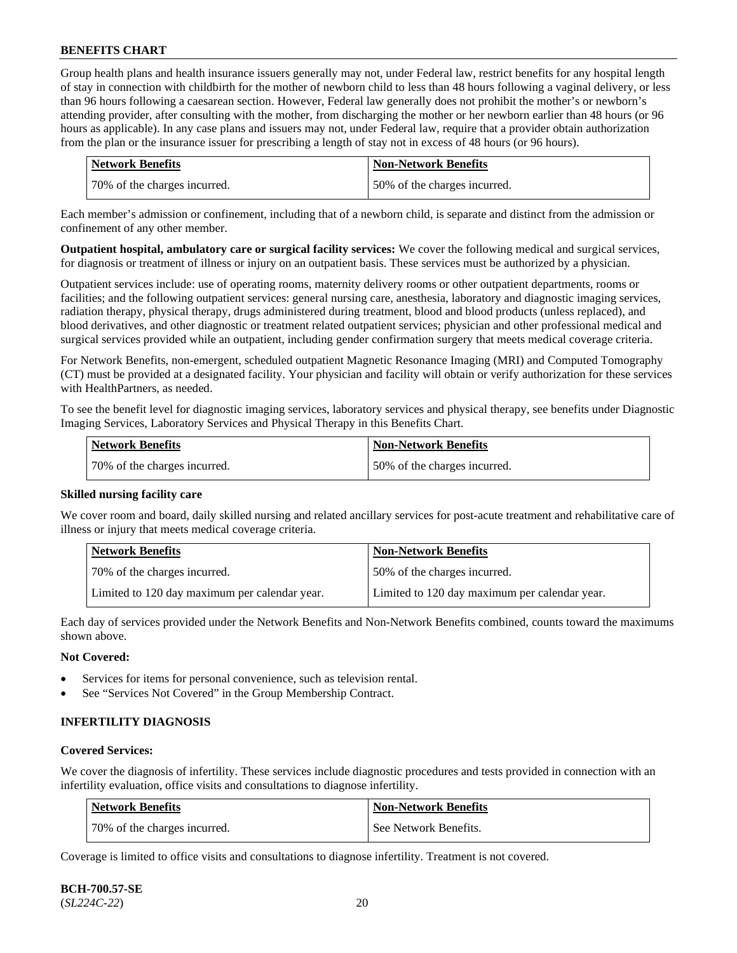Group health plans and health insurance issuers generally may not, under Federal law, restrict benefits for any hospital length of stay in connection with childbirth for the mother of newborn child to less than 48 hours following a vaginal delivery, or less than 96 hours following a caesarean section. However, Federal law generally does not prohibit the mother's or newborn's attending provider, after consulting with the mother, from discharging the mother or her newborn earlier than 48 hours (or 96 hours as applicable). In any case plans and issuers may not, under Federal law, require that a provider obtain authorization from the plan or the insurance issuer for prescribing a length of stay not in excess of 48 hours (or 96 hours).

| <b>Network Benefits</b>      | <b>Non-Network Benefits</b>  |
|------------------------------|------------------------------|
| 70% of the charges incurred. | 50% of the charges incurred. |

Each member's admission or confinement, including that of a newborn child, is separate and distinct from the admission or confinement of any other member.

**Outpatient hospital, ambulatory care or surgical facility services:** We cover the following medical and surgical services, for diagnosis or treatment of illness or injury on an outpatient basis. These services must be authorized by a physician.

Outpatient services include: use of operating rooms, maternity delivery rooms or other outpatient departments, rooms or facilities; and the following outpatient services: general nursing care, anesthesia, laboratory and diagnostic imaging services, radiation therapy, physical therapy, drugs administered during treatment, blood and blood products (unless replaced), and blood derivatives, and other diagnostic or treatment related outpatient services; physician and other professional medical and surgical services provided while an outpatient, including gender confirmation surgery that meets medical coverage criteria.

For Network Benefits, non-emergent, scheduled outpatient Magnetic Resonance Imaging (MRI) and Computed Tomography (CT) must be provided at a designated facility. Your physician and facility will obtain or verify authorization for these services with HealthPartners, as needed.

To see the benefit level for diagnostic imaging services, laboratory services and physical therapy, see benefits under Diagnostic Imaging Services, Laboratory Services and Physical Therapy in this Benefits Chart.

| <b>Network Benefits</b>      | Non-Network Benefits         |
|------------------------------|------------------------------|
| 70% of the charges incurred. | 50% of the charges incurred. |

### **Skilled nursing facility care**

We cover room and board, daily skilled nursing and related ancillary services for post-acute treatment and rehabilitative care of illness or injury that meets medical coverage criteria.

| Network Benefits                              | <b>Non-Network Benefits</b>                   |
|-----------------------------------------------|-----------------------------------------------|
| 70% of the charges incurred.                  | 50% of the charges incurred.                  |
| Limited to 120 day maximum per calendar year. | Limited to 120 day maximum per calendar year. |

Each day of services provided under the Network Benefits and Non-Network Benefits combined, counts toward the maximums shown above.

#### **Not Covered:**

- Services for items for personal convenience, such as television rental.
- See "Services Not Covered" in the Group Membership Contract.

### **INFERTILITY DIAGNOSIS**

#### **Covered Services:**

We cover the diagnosis of infertility. These services include diagnostic procedures and tests provided in connection with an infertility evaluation, office visits and consultations to diagnose infertility.

| <b>Network Benefits</b>      | <b>Non-Network Benefits</b> |
|------------------------------|-----------------------------|
| 70% of the charges incurred. | See Network Benefits.       |

Coverage is limited to office visits and consultations to diagnose infertility. Treatment is not covered.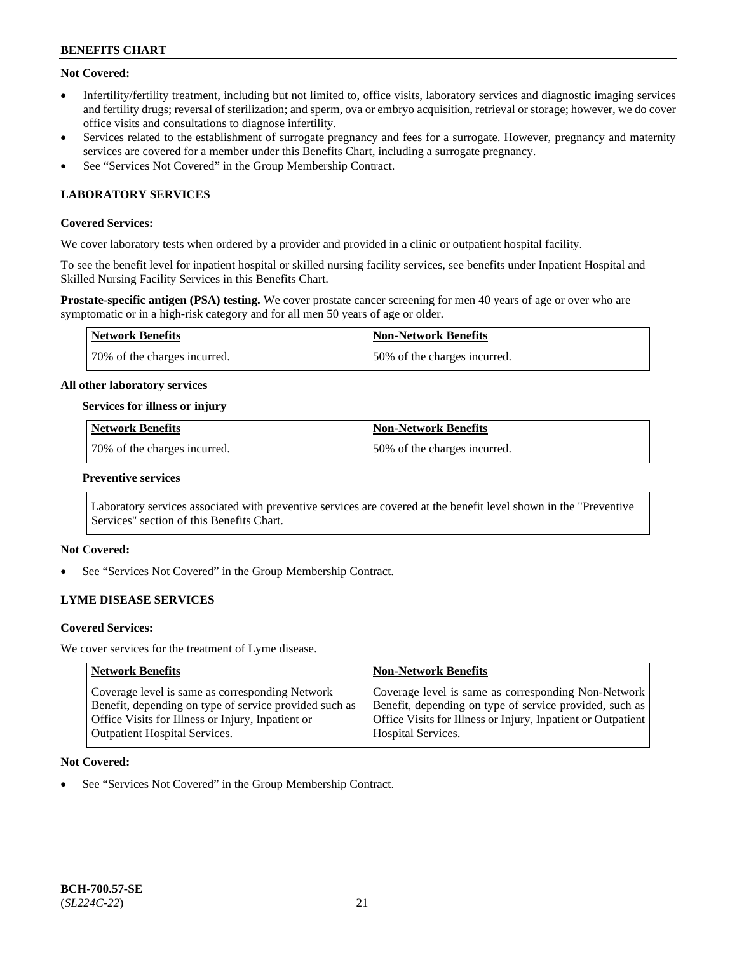### **Not Covered:**

- Infertility/fertility treatment, including but not limited to, office visits, laboratory services and diagnostic imaging services and fertility drugs; reversal of sterilization; and sperm, ova or embryo acquisition, retrieval or storage; however, we do cover office visits and consultations to diagnose infertility.
- Services related to the establishment of surrogate pregnancy and fees for a surrogate. However, pregnancy and maternity services are covered for a member under this Benefits Chart, including a surrogate pregnancy.
- See "Services Not Covered" in the Group Membership Contract.

## **LABORATORY SERVICES**

### **Covered Services:**

We cover laboratory tests when ordered by a provider and provided in a clinic or outpatient hospital facility.

To see the benefit level for inpatient hospital or skilled nursing facility services, see benefits under Inpatient Hospital and Skilled Nursing Facility Services in this Benefits Chart.

**Prostate-specific antigen (PSA) testing.** We cover prostate cancer screening for men 40 years of age or over who are symptomatic or in a high-risk category and for all men 50 years of age or older.

| <b>Network Benefits</b>      | <b>Non-Network Benefits</b>  |
|------------------------------|------------------------------|
| 70% of the charges incurred. | 50% of the charges incurred. |

#### **All other laboratory services**

#### **Services for illness or injury**

| Network Benefits             | <b>Non-Network Benefits</b>  |
|------------------------------|------------------------------|
| 70% of the charges incurred. | 50% of the charges incurred. |

#### **Preventive services**

Laboratory services associated with preventive services are covered at the benefit level shown in the "Preventive Services" section of this Benefits Chart.

### **Not Covered:**

See "Services Not Covered" in the Group Membership Contract.

### **LYME DISEASE SERVICES**

#### **Covered Services:**

We cover services for the treatment of Lyme disease.

| <b>Network Benefits</b>                                | <b>Non-Network Benefits</b>                                  |
|--------------------------------------------------------|--------------------------------------------------------------|
| Coverage level is same as corresponding Network        | Coverage level is same as corresponding Non-Network          |
| Benefit, depending on type of service provided such as | Benefit, depending on type of service provided, such as      |
| Office Visits for Illness or Injury, Inpatient or      | Office Visits for Illness or Injury, Inpatient or Outpatient |
| <b>Outpatient Hospital Services.</b>                   | <b>Hospital Services.</b>                                    |

#### **Not Covered:**

See "Services Not Covered" in the Group Membership Contract.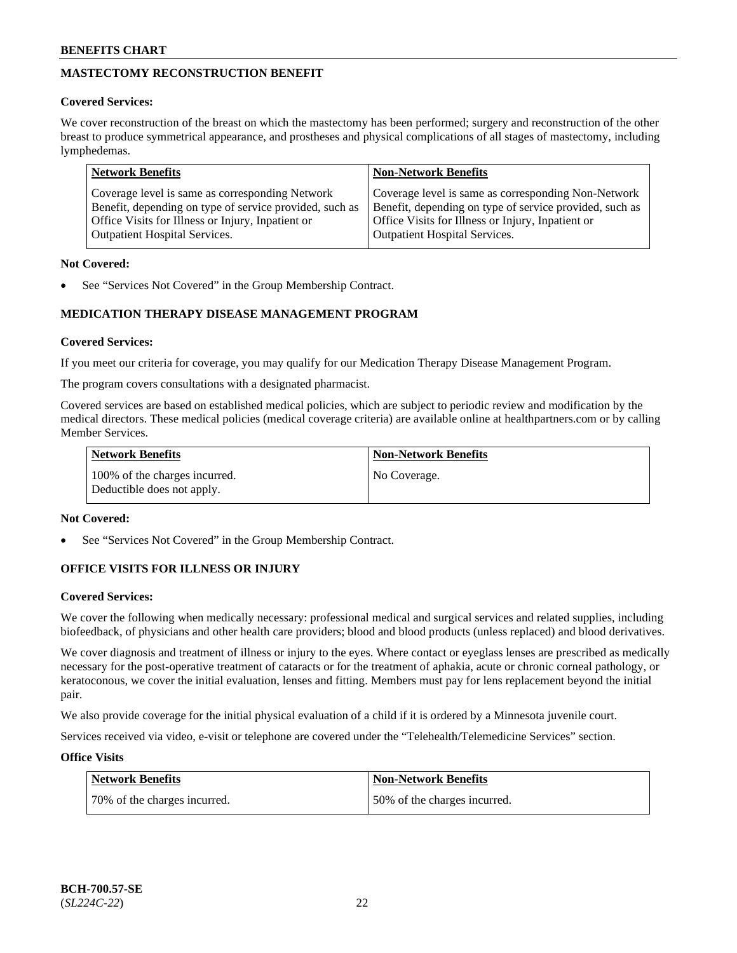## **MASTECTOMY RECONSTRUCTION BENEFIT**

### **Covered Services:**

We cover reconstruction of the breast on which the mastectomy has been performed; surgery and reconstruction of the other breast to produce symmetrical appearance, and prostheses and physical complications of all stages of mastectomy, including lymphedemas.

| <b>Network Benefits</b>                                 | <b>Non-Network Benefits</b>                             |
|---------------------------------------------------------|---------------------------------------------------------|
| Coverage level is same as corresponding Network         | Coverage level is same as corresponding Non-Network     |
| Benefit, depending on type of service provided, such as | Benefit, depending on type of service provided, such as |
| Office Visits for Illness or Injury, Inpatient or       | Office Visits for Illness or Injury, Inpatient or       |
| <b>Outpatient Hospital Services.</b>                    | <b>Outpatient Hospital Services.</b>                    |

### **Not Covered:**

See "Services Not Covered" in the Group Membership Contract.

## **MEDICATION THERAPY DISEASE MANAGEMENT PROGRAM**

### **Covered Services:**

If you meet our criteria for coverage, you may qualify for our Medication Therapy Disease Management Program.

The program covers consultations with a designated pharmacist.

Covered services are based on established medical policies, which are subject to periodic review and modification by the medical directors. These medical policies (medical coverage criteria) are available online at [healthpartners.com](https://www.healthpartners.com/hp/index.html) or by calling Member Services.

| Network Benefits                                            | <b>Non-Network Benefits</b> |
|-------------------------------------------------------------|-----------------------------|
| 100% of the charges incurred.<br>Deductible does not apply. | No Coverage.                |

### **Not Covered:**

See "Services Not Covered" in the Group Membership Contract.

## **OFFICE VISITS FOR ILLNESS OR INJURY**

### **Covered Services:**

We cover the following when medically necessary: professional medical and surgical services and related supplies, including biofeedback, of physicians and other health care providers; blood and blood products (unless replaced) and blood derivatives.

We cover diagnosis and treatment of illness or injury to the eyes. Where contact or eyeglass lenses are prescribed as medically necessary for the post-operative treatment of cataracts or for the treatment of aphakia, acute or chronic corneal pathology, or keratoconous, we cover the initial evaluation, lenses and fitting. Members must pay for lens replacement beyond the initial pair.

We also provide coverage for the initial physical evaluation of a child if it is ordered by a Minnesota juvenile court.

Services received via video, e-visit or telephone are covered under the "Telehealth/Telemedicine Services" section.

### **Office Visits**

| <b>Network Benefits</b>      | <b>Non-Network Benefits</b>  |
|------------------------------|------------------------------|
| 70% of the charges incurred. | 50% of the charges incurred. |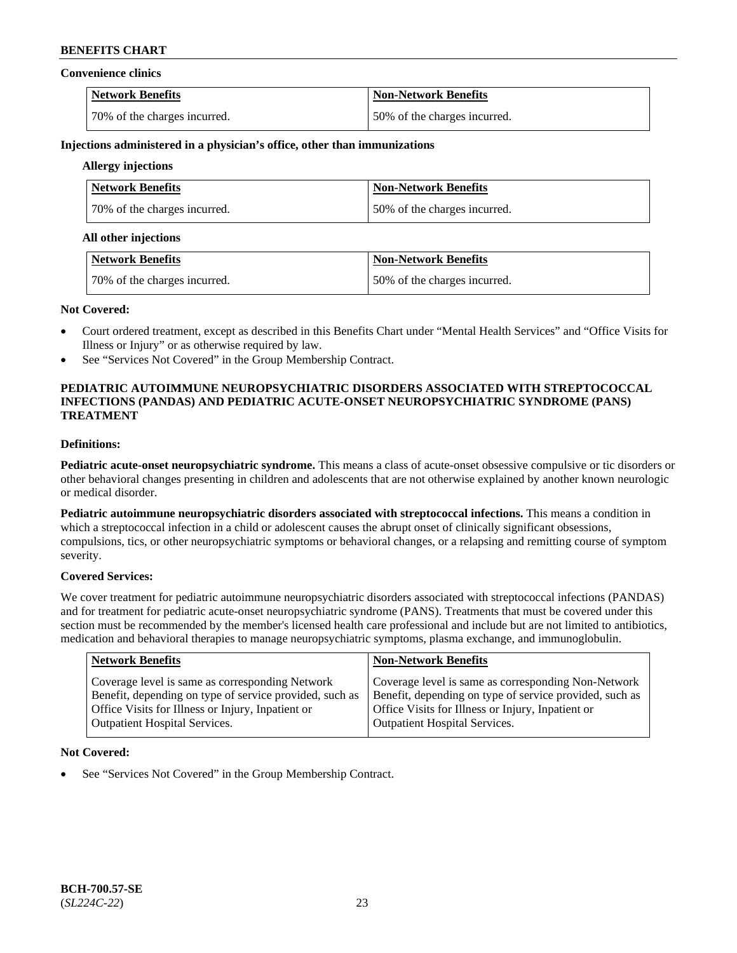#### **Convenience clinics**

| <b>Network Benefits</b>      | <b>Non-Network Benefits</b>  |
|------------------------------|------------------------------|
| 70% of the charges incurred. | 50% of the charges incurred. |

#### **Injections administered in a physician's office, other than immunizations**

## **Allergy injections**

| <b>Network Benefits</b>      | <b>Non-Network Benefits</b>  |
|------------------------------|------------------------------|
| 70% of the charges incurred. | 50% of the charges incurred. |

#### **All other injections**

| Network Benefits             | Non-Network Benefits         |
|------------------------------|------------------------------|
| 70% of the charges incurred. | 50% of the charges incurred. |

#### **Not Covered:**

- Court ordered treatment, except as described in this Benefits Chart under "Mental Health Services" and "Office Visits for Illness or Injury" or as otherwise required by law.
- See "Services Not Covered" in the Group Membership Contract.

### **PEDIATRIC AUTOIMMUNE NEUROPSYCHIATRIC DISORDERS ASSOCIATED WITH STREPTOCOCCAL INFECTIONS (PANDAS) AND PEDIATRIC ACUTE-ONSET NEUROPSYCHIATRIC SYNDROME (PANS) TREATMENT**

## **Definitions:**

**Pediatric acute-onset neuropsychiatric syndrome.** This means a class of acute-onset obsessive compulsive or tic disorders or other behavioral changes presenting in children and adolescents that are not otherwise explained by another known neurologic or medical disorder.

**Pediatric autoimmune neuropsychiatric disorders associated with streptococcal infections.** This means a condition in which a streptococcal infection in a child or adolescent causes the abrupt onset of clinically significant obsessions, compulsions, tics, or other neuropsychiatric symptoms or behavioral changes, or a relapsing and remitting course of symptom severity.

### **Covered Services:**

We cover treatment for pediatric autoimmune neuropsychiatric disorders associated with streptococcal infections (PANDAS) and for treatment for pediatric acute-onset neuropsychiatric syndrome (PANS). Treatments that must be covered under this section must be recommended by the member's licensed health care professional and include but are not limited to antibiotics, medication and behavioral therapies to manage neuropsychiatric symptoms, plasma exchange, and immunoglobulin.

| <b>Network Benefits</b>                                 | <b>Non-Network Benefits</b>                             |
|---------------------------------------------------------|---------------------------------------------------------|
| Coverage level is same as corresponding Network         | Coverage level is same as corresponding Non-Network     |
| Benefit, depending on type of service provided, such as | Benefit, depending on type of service provided, such as |
| Office Visits for Illness or Injury, Inpatient or       | Office Visits for Illness or Injury, Inpatient or       |
| <b>Outpatient Hospital Services.</b>                    | Outpatient Hospital Services.                           |

### **Not Covered:**

See "Services Not Covered" in the Group Membership Contract.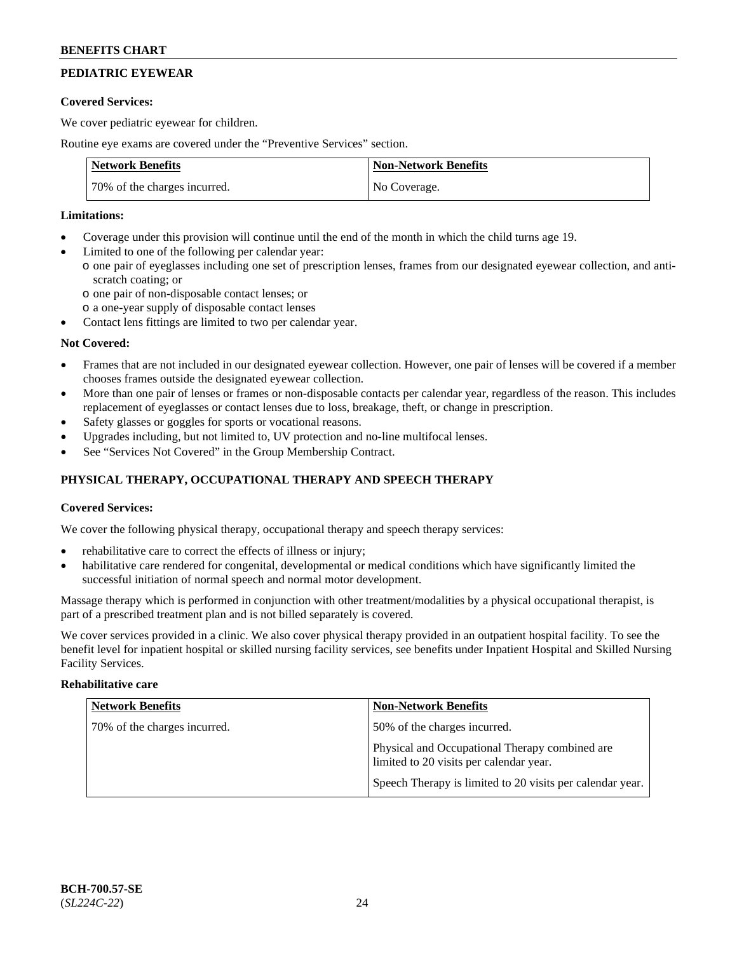## **PEDIATRIC EYEWEAR**

### **Covered Services:**

We cover pediatric eyewear for children.

Routine eye exams are covered under the "Preventive Services" section.

| <b>Network Benefits</b>      | <b>Non-Network Benefits</b> |
|------------------------------|-----------------------------|
| 70% of the charges incurred. | No Coverage.                |

### **Limitations:**

- Coverage under this provision will continue until the end of the month in which the child turns age 19.
- Limited to one of the following per calendar year:
	- o one pair of eyeglasses including one set of prescription lenses, frames from our designated eyewear collection, and antiscratch coating; or
		- o one pair of non-disposable contact lenses; or
		- o a one-year supply of disposable contact lenses
- Contact lens fittings are limited to two per calendar year.

### **Not Covered:**

- Frames that are not included in our designated eyewear collection. However, one pair of lenses will be covered if a member chooses frames outside the designated eyewear collection.
- More than one pair of lenses or frames or non-disposable contacts per calendar year, regardless of the reason. This includes replacement of eyeglasses or contact lenses due to loss, breakage, theft, or change in prescription.
- Safety glasses or goggles for sports or vocational reasons.
- Upgrades including, but not limited to, UV protection and no-line multifocal lenses.
- See "Services Not Covered" in the Group Membership Contract.

## **PHYSICAL THERAPY, OCCUPATIONAL THERAPY AND SPEECH THERAPY**

### **Covered Services:**

We cover the following physical therapy, occupational therapy and speech therapy services:

- rehabilitative care to correct the effects of illness or injury;
- habilitative care rendered for congenital, developmental or medical conditions which have significantly limited the successful initiation of normal speech and normal motor development.

Massage therapy which is performed in conjunction with other treatment/modalities by a physical occupational therapist, is part of a prescribed treatment plan and is not billed separately is covered.

We cover services provided in a clinic. We also cover physical therapy provided in an outpatient hospital facility. To see the benefit level for inpatient hospital or skilled nursing facility services, see benefits under Inpatient Hospital and Skilled Nursing Facility Services.

#### **Rehabilitative care**

| <b>Network Benefits</b>      | <b>Non-Network Benefits</b>                                                               |
|------------------------------|-------------------------------------------------------------------------------------------|
| 70% of the charges incurred. | 50% of the charges incurred.                                                              |
|                              | Physical and Occupational Therapy combined are<br>limited to 20 visits per calendar year. |
|                              | Speech Therapy is limited to 20 visits per calendar year.                                 |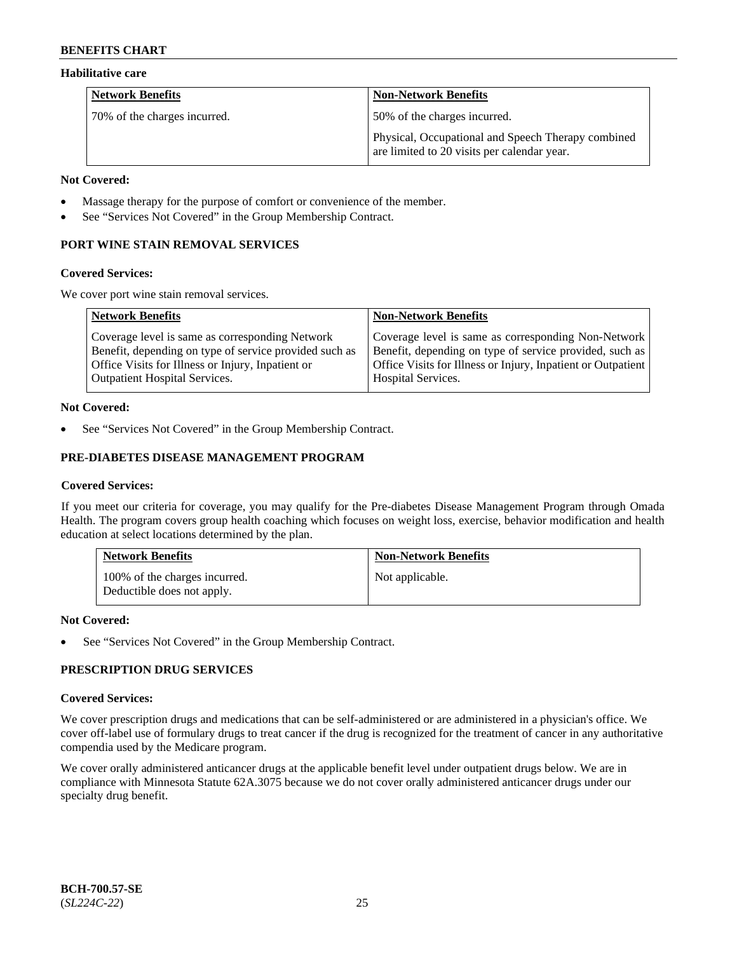### **Habilitative care**

| <b>Network Benefits</b>      | <b>Non-Network Benefits</b>                                                                       |
|------------------------------|---------------------------------------------------------------------------------------------------|
| 70% of the charges incurred. | 50% of the charges incurred.                                                                      |
|                              | Physical, Occupational and Speech Therapy combined<br>are limited to 20 visits per calendar year. |

#### **Not Covered:**

- Massage therapy for the purpose of comfort or convenience of the member.
- See "Services Not Covered" in the Group Membership Contract.

## **PORT WINE STAIN REMOVAL SERVICES**

#### **Covered Services:**

We cover port wine stain removal services.

| <b>Network Benefits</b>                                | <b>Non-Network Benefits</b>                                  |
|--------------------------------------------------------|--------------------------------------------------------------|
| Coverage level is same as corresponding Network        | Coverage level is same as corresponding Non-Network          |
| Benefit, depending on type of service provided such as | Benefit, depending on type of service provided, such as      |
| Office Visits for Illness or Injury, Inpatient or      | Office Visits for Illness or Injury, Inpatient or Outpatient |
| <b>Outpatient Hospital Services.</b>                   | Hospital Services.                                           |

### **Not Covered:**

See "Services Not Covered" in the Group Membership Contract.

## **PRE-DIABETES DISEASE MANAGEMENT PROGRAM**

### **Covered Services:**

If you meet our criteria for coverage, you may qualify for the Pre-diabetes Disease Management Program through Omada Health. The program covers group health coaching which focuses on weight loss, exercise, behavior modification and health education at select locations determined by the plan.

| <b>Network Benefits</b>                                     | <b>Non-Network Benefits</b> |
|-------------------------------------------------------------|-----------------------------|
| 100% of the charges incurred.<br>Deductible does not apply. | Not applicable.             |

### **Not Covered:**

See "Services Not Covered" in the Group Membership Contract.

## **PRESCRIPTION DRUG SERVICES**

### **Covered Services:**

We cover prescription drugs and medications that can be self-administered or are administered in a physician's office. We cover off-label use of formulary drugs to treat cancer if the drug is recognized for the treatment of cancer in any authoritative compendia used by the Medicare program.

We cover orally administered anticancer drugs at the applicable benefit level under outpatient drugs below. We are in compliance with Minnesota Statute 62A.3075 because we do not cover orally administered anticancer drugs under our specialty drug benefit.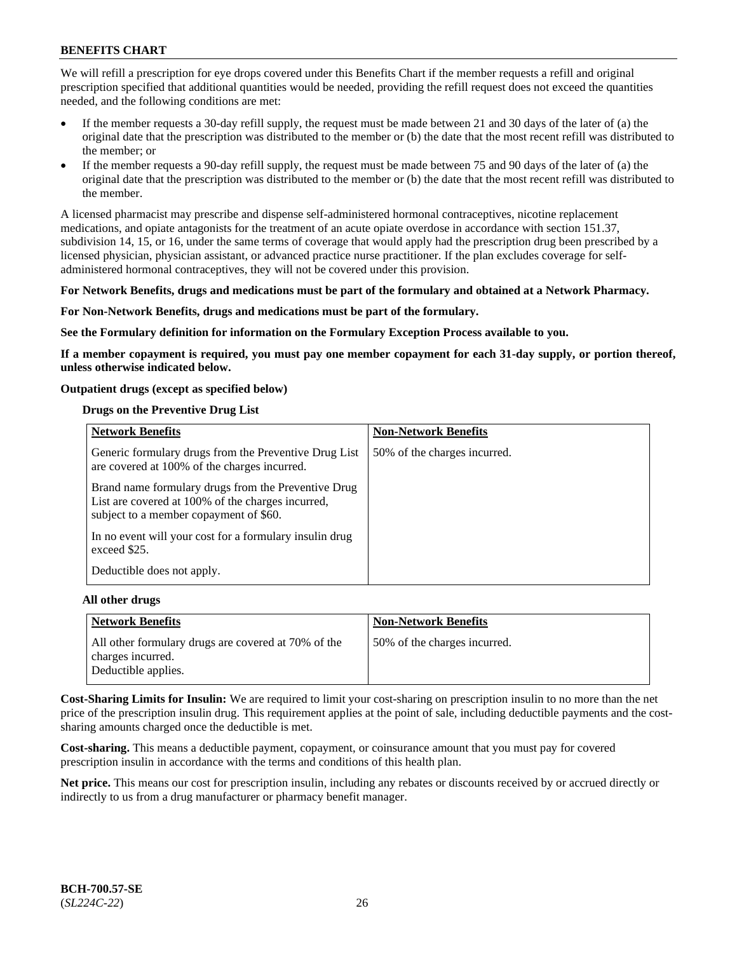We will refill a prescription for eye drops covered under this Benefits Chart if the member requests a refill and original prescription specified that additional quantities would be needed, providing the refill request does not exceed the quantities needed, and the following conditions are met:

- If the member requests a 30-day refill supply, the request must be made between 21 and 30 days of the later of (a) the original date that the prescription was distributed to the member or (b) the date that the most recent refill was distributed to the member; or
- If the member requests a 90-day refill supply, the request must be made between 75 and 90 days of the later of (a) the original date that the prescription was distributed to the member or (b) the date that the most recent refill was distributed to the member.

A licensed pharmacist may prescribe and dispense self-administered hormonal contraceptives, nicotine replacement medications, and opiate antagonists for the treatment of an acute opiate overdose in accordance with section 151.37, subdivision 14, 15, or 16, under the same terms of coverage that would apply had the prescription drug been prescribed by a licensed physician, physician assistant, or advanced practice nurse practitioner. If the plan excludes coverage for selfadministered hormonal contraceptives, they will not be covered under this provision.

#### **For Network Benefits, drugs and medications must be part of the formulary and obtained at a Network Pharmacy.**

#### **For Non-Network Benefits, drugs and medications must be part of the formulary.**

**See the Formulary definition for information on the Formulary Exception Process available to you.**

**If a member copayment is required, you must pay one member copayment for each 31-day supply, or portion thereof, unless otherwise indicated below.**

#### **Outpatient drugs (except as specified below)**

#### **Drugs on the Preventive Drug List**

| <b>Network Benefits</b>                                                                                                                            | <b>Non-Network Benefits</b>  |
|----------------------------------------------------------------------------------------------------------------------------------------------------|------------------------------|
| Generic formulary drugs from the Preventive Drug List<br>are covered at 100% of the charges incurred.                                              | 50% of the charges incurred. |
| Brand name formulary drugs from the Preventive Drug<br>List are covered at 100% of the charges incurred,<br>subject to a member copayment of \$60. |                              |
| In no event will your cost for a formulary insulin drug<br>exceed \$25.                                                                            |                              |
| Deductible does not apply.                                                                                                                         |                              |

#### **All other drugs**

| Network Benefits                                                                                | <b>Non-Network Benefits</b>  |
|-------------------------------------------------------------------------------------------------|------------------------------|
| All other formulary drugs are covered at 70% of the<br>charges incurred.<br>Deductible applies. | 50% of the charges incurred. |

**Cost-Sharing Limits for Insulin:** We are required to limit your cost-sharing on prescription insulin to no more than the net price of the prescription insulin drug. This requirement applies at the point of sale, including deductible payments and the costsharing amounts charged once the deductible is met.

**Cost-sharing.** This means a deductible payment, copayment, or coinsurance amount that you must pay for covered prescription insulin in accordance with the terms and conditions of this health plan.

**Net price.** This means our cost for prescription insulin, including any rebates or discounts received by or accrued directly or indirectly to us from a drug manufacturer or pharmacy benefit manager.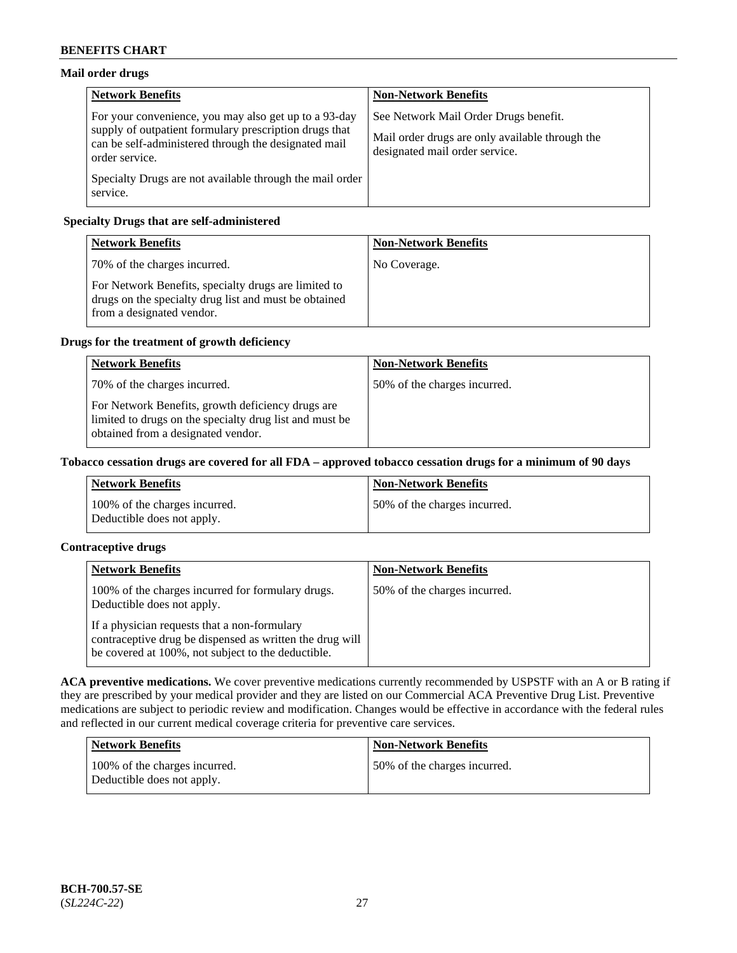## **Mail order drugs**

| <b>Network Benefits</b>                                                                                                                                                                   | <b>Non-Network Benefits</b>                                                                                                |
|-------------------------------------------------------------------------------------------------------------------------------------------------------------------------------------------|----------------------------------------------------------------------------------------------------------------------------|
| For your convenience, you may also get up to a 93-day<br>supply of outpatient formulary prescription drugs that<br>can be self-administered through the designated mail<br>order service. | See Network Mail Order Drugs benefit.<br>Mail order drugs are only available through the<br>designated mail order service. |
| Specialty Drugs are not available through the mail order<br>service.                                                                                                                      |                                                                                                                            |

## **Specialty Drugs that are self-administered**

| <b>Network Benefits</b>                                                                                                                    | <b>Non-Network Benefits</b> |
|--------------------------------------------------------------------------------------------------------------------------------------------|-----------------------------|
| 70% of the charges incurred.                                                                                                               | No Coverage.                |
| For Network Benefits, specialty drugs are limited to<br>drugs on the specialty drug list and must be obtained<br>from a designated vendor. |                             |

## **Drugs for the treatment of growth deficiency**

| <b>Network Benefits</b>                                                                                                                            | <b>Non-Network Benefits</b>  |
|----------------------------------------------------------------------------------------------------------------------------------------------------|------------------------------|
| 70% of the charges incurred.                                                                                                                       | 50% of the charges incurred. |
| For Network Benefits, growth deficiency drugs are<br>limited to drugs on the specialty drug list and must be<br>obtained from a designated vendor. |                              |

### **Tobacco cessation drugs are covered for all FDA – approved tobacco cessation drugs for a minimum of 90 days**

| <b>Network Benefits</b>                                     | Non-Network Benefits         |
|-------------------------------------------------------------|------------------------------|
| 100% of the charges incurred.<br>Deductible does not apply. | 50% of the charges incurred. |

## **Contraceptive drugs**

| <b>Network Benefits</b>                                                                                                                                        | <b>Non-Network Benefits</b>  |
|----------------------------------------------------------------------------------------------------------------------------------------------------------------|------------------------------|
| 100% of the charges incurred for formulary drugs.<br>Deductible does not apply.                                                                                | 50% of the charges incurred. |
| If a physician requests that a non-formulary<br>contraceptive drug be dispensed as written the drug will<br>be covered at 100%, not subject to the deductible. |                              |

**ACA preventive medications.** We cover preventive medications currently recommended by USPSTF with an A or B rating if they are prescribed by your medical provider and they are listed on our Commercial ACA Preventive Drug List. Preventive medications are subject to periodic review and modification. Changes would be effective in accordance with the federal rules and reflected in our current medical coverage criteria for preventive care services.

| Network Benefits                                            | <b>Non-Network Benefits</b>  |
|-------------------------------------------------------------|------------------------------|
| 100% of the charges incurred.<br>Deductible does not apply. | 50% of the charges incurred. |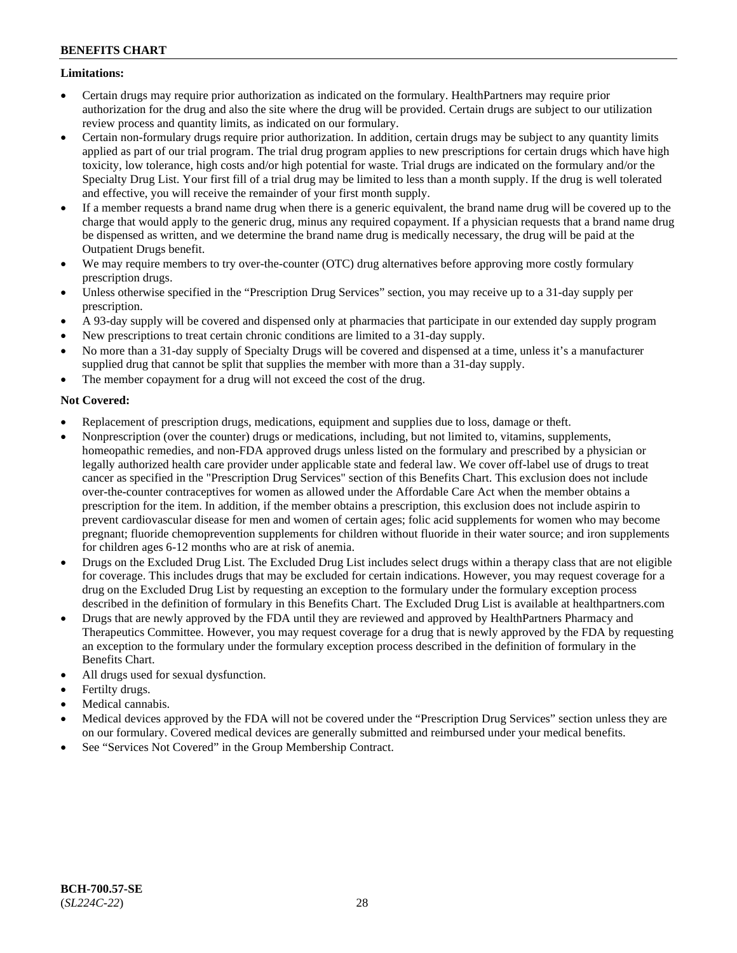### **Limitations:**

- Certain drugs may require prior authorization as indicated on the formulary. HealthPartners may require prior authorization for the drug and also the site where the drug will be provided. Certain drugs are subject to our utilization review process and quantity limits, as indicated on our formulary.
- Certain non-formulary drugs require prior authorization. In addition, certain drugs may be subject to any quantity limits applied as part of our trial program. The trial drug program applies to new prescriptions for certain drugs which have high toxicity, low tolerance, high costs and/or high potential for waste. Trial drugs are indicated on the formulary and/or the Specialty Drug List. Your first fill of a trial drug may be limited to less than a month supply. If the drug is well tolerated and effective, you will receive the remainder of your first month supply.
- If a member requests a brand name drug when there is a generic equivalent, the brand name drug will be covered up to the charge that would apply to the generic drug, minus any required copayment. If a physician requests that a brand name drug be dispensed as written, and we determine the brand name drug is medically necessary, the drug will be paid at the Outpatient Drugs benefit.
- We may require members to try over-the-counter (OTC) drug alternatives before approving more costly formulary prescription drugs.
- Unless otherwise specified in the "Prescription Drug Services" section, you may receive up to a 31-day supply per prescription.
- A 93-day supply will be covered and dispensed only at pharmacies that participate in our extended day supply program
- New prescriptions to treat certain chronic conditions are limited to a 31-day supply.
- No more than a 31-day supply of Specialty Drugs will be covered and dispensed at a time, unless it's a manufacturer supplied drug that cannot be split that supplies the member with more than a 31-day supply.
- The member copayment for a drug will not exceed the cost of the drug.

## **Not Covered:**

- Replacement of prescription drugs, medications, equipment and supplies due to loss, damage or theft.
- Nonprescription (over the counter) drugs or medications, including, but not limited to, vitamins, supplements, homeopathic remedies, and non-FDA approved drugs unless listed on the formulary and prescribed by a physician or legally authorized health care provider under applicable state and federal law. We cover off-label use of drugs to treat cancer as specified in the "Prescription Drug Services" section of this Benefits Chart. This exclusion does not include over-the-counter contraceptives for women as allowed under the Affordable Care Act when the member obtains a prescription for the item. In addition, if the member obtains a prescription, this exclusion does not include aspirin to prevent cardiovascular disease for men and women of certain ages; folic acid supplements for women who may become pregnant; fluoride chemoprevention supplements for children without fluoride in their water source; and iron supplements for children ages 6-12 months who are at risk of anemia.
- Drugs on the Excluded Drug List. The Excluded Drug List includes select drugs within a therapy class that are not eligible for coverage. This includes drugs that may be excluded for certain indications. However, you may request coverage for a drug on the Excluded Drug List by requesting an exception to the formulary under the formulary exception process described in the definition of formulary in this Benefits Chart. The Excluded Drug List is available at [healthpartners.com](http://www.healthpartners.com/)
- Drugs that are newly approved by the FDA until they are reviewed and approved by HealthPartners Pharmacy and Therapeutics Committee. However, you may request coverage for a drug that is newly approved by the FDA by requesting an exception to the formulary under the formulary exception process described in the definition of formulary in the Benefits Chart.
- All drugs used for sexual dysfunction.
- Fertilty drugs.
- Medical cannabis.
- Medical devices approved by the FDA will not be covered under the "Prescription Drug Services" section unless they are on our formulary. Covered medical devices are generally submitted and reimbursed under your medical benefits.
- See "Services Not Covered" in the Group Membership Contract.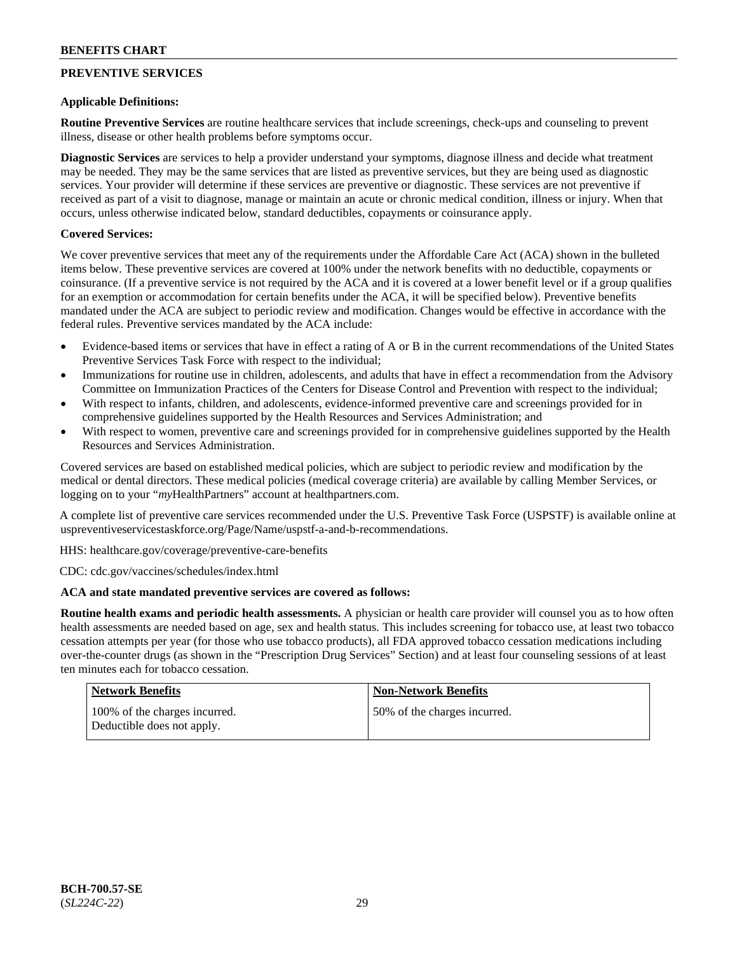## **PREVENTIVE SERVICES**

### **Applicable Definitions:**

**Routine Preventive Services** are routine healthcare services that include screenings, check-ups and counseling to prevent illness, disease or other health problems before symptoms occur.

**Diagnostic Services** are services to help a provider understand your symptoms, diagnose illness and decide what treatment may be needed. They may be the same services that are listed as preventive services, but they are being used as diagnostic services. Your provider will determine if these services are preventive or diagnostic. These services are not preventive if received as part of a visit to diagnose, manage or maintain an acute or chronic medical condition, illness or injury. When that occurs, unless otherwise indicated below, standard deductibles, copayments or coinsurance apply.

### **Covered Services:**

We cover preventive services that meet any of the requirements under the Affordable Care Act (ACA) shown in the bulleted items below. These preventive services are covered at 100% under the network benefits with no deductible, copayments or coinsurance. (If a preventive service is not required by the ACA and it is covered at a lower benefit level or if a group qualifies for an exemption or accommodation for certain benefits under the ACA, it will be specified below). Preventive benefits mandated under the ACA are subject to periodic review and modification. Changes would be effective in accordance with the federal rules. Preventive services mandated by the ACA include:

- Evidence-based items or services that have in effect a rating of A or B in the current recommendations of the United States Preventive Services Task Force with respect to the individual;
- Immunizations for routine use in children, adolescents, and adults that have in effect a recommendation from the Advisory Committee on Immunization Practices of the Centers for Disease Control and Prevention with respect to the individual;
- With respect to infants, children, and adolescents, evidence-informed preventive care and screenings provided for in comprehensive guidelines supported by the Health Resources and Services Administration; and
- With respect to women, preventive care and screenings provided for in comprehensive guidelines supported by the Health Resources and Services Administration.

Covered services are based on established medical policies, which are subject to periodic review and modification by the medical or dental directors. These medical policies (medical coverage criteria) are available by calling Member Services, or logging on to your "*my*HealthPartners" account at [healthpartners.com.](http://www.healthpartners.com/)

A complete list of preventive care services recommended under the U.S. Preventive Task Force (USPSTF) is available online at [uspreventiveservicestaskforce.org/Page/Name/uspstf-a-and-b-recommendations.](https://www.uspreventiveservicestaskforce.org/Page/Name/uspstf-a-and-b-recommendations-by-date/)

HHS: [healthcare.gov/coverage/preventive-care-benefits](https://www.healthcare.gov/coverage/preventive-care-benefits/)

CDC: [cdc.gov/vaccines/schedules/index.html](https://www.cdc.gov/vaccines/schedules/index.html)

### **ACA and state mandated preventive services are covered as follows:**

**Routine health exams and periodic health assessments.** A physician or health care provider will counsel you as to how often health assessments are needed based on age, sex and health status. This includes screening for tobacco use, at least two tobacco cessation attempts per year (for those who use tobacco products), all FDA approved tobacco cessation medications including over-the-counter drugs (as shown in the "Prescription Drug Services" Section) and at least four counseling sessions of at least ten minutes each for tobacco cessation.

| <b>Network Benefits</b>                                     | <b>Non-Network Benefits</b>  |
|-------------------------------------------------------------|------------------------------|
| 100% of the charges incurred.<br>Deductible does not apply. | 50% of the charges incurred. |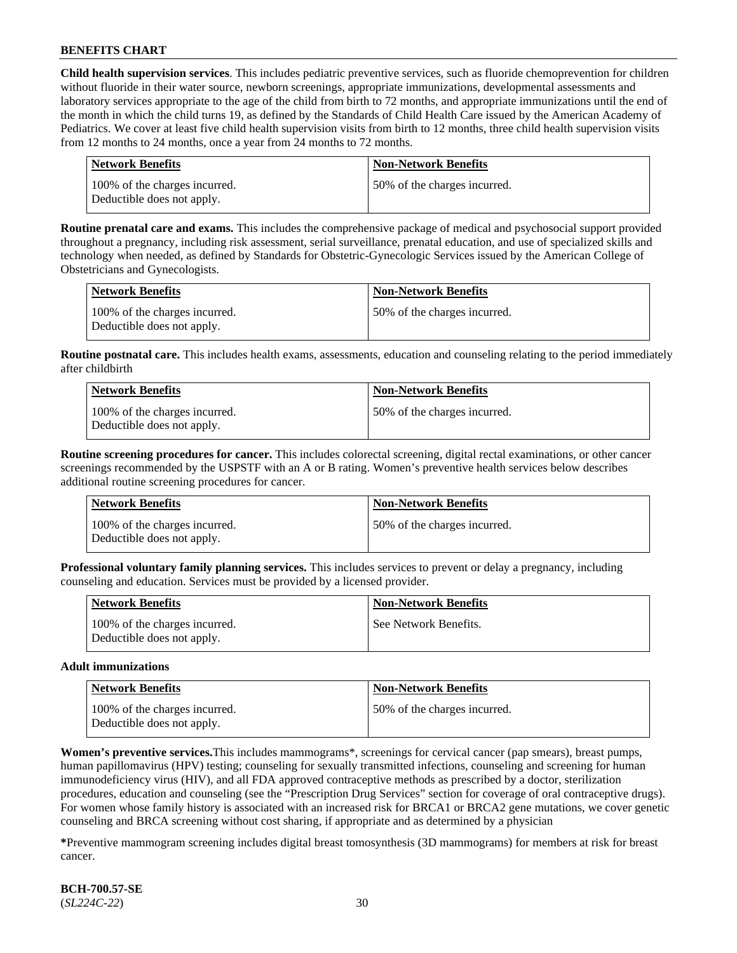**Child health supervision services**. This includes pediatric preventive services, such as fluoride chemoprevention for children without fluoride in their water source, newborn screenings, appropriate immunizations, developmental assessments and laboratory services appropriate to the age of the child from birth to 72 months, and appropriate immunizations until the end of the month in which the child turns 19, as defined by the Standards of Child Health Care issued by the American Academy of Pediatrics. We cover at least five child health supervision visits from birth to 12 months, three child health supervision visits from 12 months to 24 months, once a year from 24 months to 72 months.

| Network Benefits                                            | <b>Non-Network Benefits</b>  |
|-------------------------------------------------------------|------------------------------|
| 100% of the charges incurred.<br>Deductible does not apply. | 50% of the charges incurred. |

**Routine prenatal care and exams.** This includes the comprehensive package of medical and psychosocial support provided throughout a pregnancy, including risk assessment, serial surveillance, prenatal education, and use of specialized skills and technology when needed, as defined by Standards for Obstetric-Gynecologic Services issued by the American College of Obstetricians and Gynecologists.

| Network Benefits                                            | <b>Non-Network Benefits</b>  |
|-------------------------------------------------------------|------------------------------|
| 100% of the charges incurred.<br>Deductible does not apply. | 50% of the charges incurred. |

**Routine postnatal care.** This includes health exams, assessments, education and counseling relating to the period immediately after childbirth

| Network Benefits                                            | <b>Non-Network Benefits</b>  |
|-------------------------------------------------------------|------------------------------|
| 100% of the charges incurred.<br>Deductible does not apply. | 50% of the charges incurred. |

**Routine screening procedures for cancer.** This includes colorectal screening, digital rectal examinations, or other cancer screenings recommended by the USPSTF with an A or B rating. Women's preventive health services below describes additional routine screening procedures for cancer.

| Network Benefits                                            | <b>Non-Network Benefits</b>  |
|-------------------------------------------------------------|------------------------------|
| 100% of the charges incurred.<br>Deductible does not apply. | 50% of the charges incurred. |

**Professional voluntary family planning services.** This includes services to prevent or delay a pregnancy, including counseling and education. Services must be provided by a licensed provider.

| <b>Network Benefits</b>                                     | <b>Non-Network Benefits</b> |
|-------------------------------------------------------------|-----------------------------|
| 100% of the charges incurred.<br>Deductible does not apply. | See Network Benefits.       |

#### **Adult immunizations**

| Network Benefits                                            | <b>Non-Network Benefits</b>  |
|-------------------------------------------------------------|------------------------------|
| 100% of the charges incurred.<br>Deductible does not apply. | 50% of the charges incurred. |

**Women's preventive services.**This includes mammograms\*, screenings for cervical cancer (pap smears), breast pumps, human papillomavirus (HPV) testing; counseling for sexually transmitted infections, counseling and screening for human immunodeficiency virus (HIV), and all FDA approved contraceptive methods as prescribed by a doctor, sterilization procedures, education and counseling (see the "Prescription Drug Services" section for coverage of oral contraceptive drugs). For women whose family history is associated with an increased risk for BRCA1 or BRCA2 gene mutations, we cover genetic counseling and BRCA screening without cost sharing, if appropriate and as determined by a physician

**\***Preventive mammogram screening includes digital breast tomosynthesis (3D mammograms) for members at risk for breast cancer.

**BCH-700.57-SE** (*SL224C-22*) 30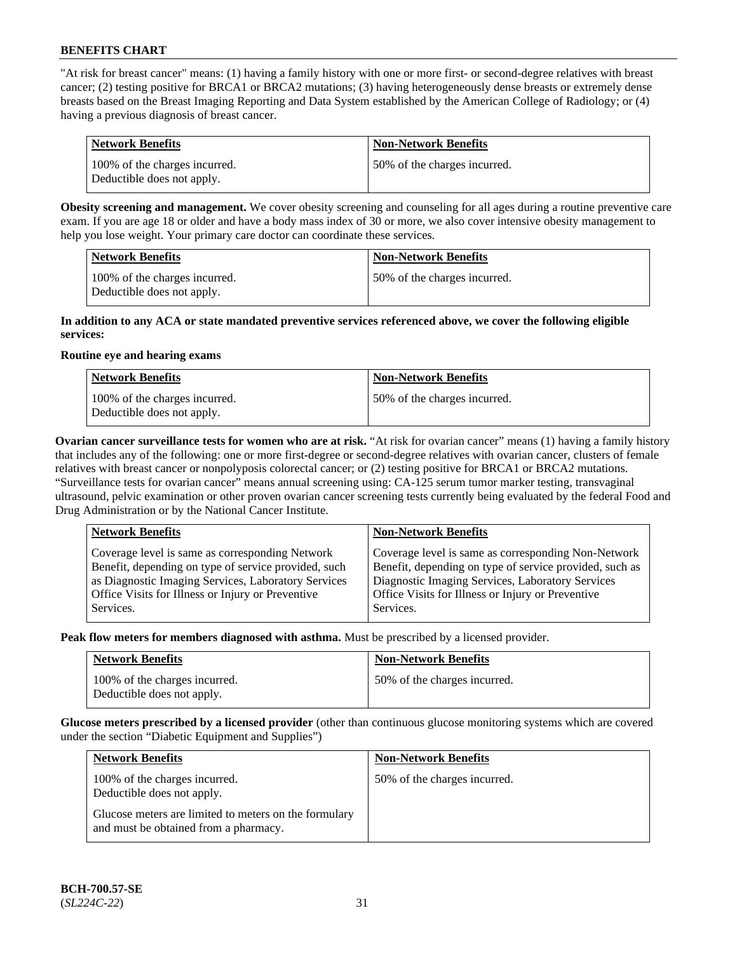"At risk for breast cancer" means: (1) having a family history with one or more first- or second-degree relatives with breast cancer; (2) testing positive for BRCA1 or BRCA2 mutations; (3) having heterogeneously dense breasts or extremely dense breasts based on the Breast Imaging Reporting and Data System established by the American College of Radiology; or (4) having a previous diagnosis of breast cancer.

| Network Benefits                                            | <b>Non-Network Benefits</b>  |
|-------------------------------------------------------------|------------------------------|
| 100% of the charges incurred.<br>Deductible does not apply. | 50% of the charges incurred. |

**Obesity screening and management.** We cover obesity screening and counseling for all ages during a routine preventive care exam. If you are age 18 or older and have a body mass index of 30 or more, we also cover intensive obesity management to help you lose weight. Your primary care doctor can coordinate these services.

| <b>Network Benefits</b>                                     | <b>Non-Network Benefits</b>  |
|-------------------------------------------------------------|------------------------------|
| 100% of the charges incurred.<br>Deductible does not apply. | 50% of the charges incurred. |

#### **In addition to any ACA or state mandated preventive services referenced above, we cover the following eligible services:**

#### **Routine eye and hearing exams**

| <b>Network Benefits</b>                                     | <b>Non-Network Benefits</b>  |
|-------------------------------------------------------------|------------------------------|
| 100% of the charges incurred.<br>Deductible does not apply. | 50% of the charges incurred. |

**Ovarian cancer surveillance tests for women who are at risk.** "At risk for ovarian cancer" means (1) having a family history that includes any of the following: one or more first-degree or second-degree relatives with ovarian cancer, clusters of female relatives with breast cancer or nonpolyposis colorectal cancer; or (2) testing positive for BRCA1 or BRCA2 mutations. "Surveillance tests for ovarian cancer" means annual screening using: CA-125 serum tumor marker testing, transvaginal ultrasound, pelvic examination or other proven ovarian cancer screening tests currently being evaluated by the federal Food and Drug Administration or by the National Cancer Institute.

| <b>Network Benefits</b>                                                                                                                                                                                                          | <b>Non-Network Benefits</b>                                                                                                                                                                                                          |
|----------------------------------------------------------------------------------------------------------------------------------------------------------------------------------------------------------------------------------|--------------------------------------------------------------------------------------------------------------------------------------------------------------------------------------------------------------------------------------|
| Coverage level is same as corresponding Network<br>Benefit, depending on type of service provided, such<br>as Diagnostic Imaging Services, Laboratory Services<br>Office Visits for Illness or Injury or Preventive<br>Services. | Coverage level is same as corresponding Non-Network<br>Benefit, depending on type of service provided, such as<br>Diagnostic Imaging Services, Laboratory Services<br>Office Visits for Illness or Injury or Preventive<br>Services. |
|                                                                                                                                                                                                                                  |                                                                                                                                                                                                                                      |

**Peak flow meters for members diagnosed with asthma.** Must be prescribed by a licensed provider.

| <b>Network Benefits</b>                                     | <b>Non-Network Benefits</b>  |
|-------------------------------------------------------------|------------------------------|
| 100% of the charges incurred.<br>Deductible does not apply. | 50% of the charges incurred. |

**Glucose meters prescribed by a licensed provider** (other than continuous glucose monitoring systems which are covered under the section "Diabetic Equipment and Supplies")

| <b>Network Benefits</b>                                                                        | <b>Non-Network Benefits</b>  |
|------------------------------------------------------------------------------------------------|------------------------------|
| 100% of the charges incurred.<br>Deductible does not apply.                                    | 50% of the charges incurred. |
| Glucose meters are limited to meters on the formulary<br>and must be obtained from a pharmacy. |                              |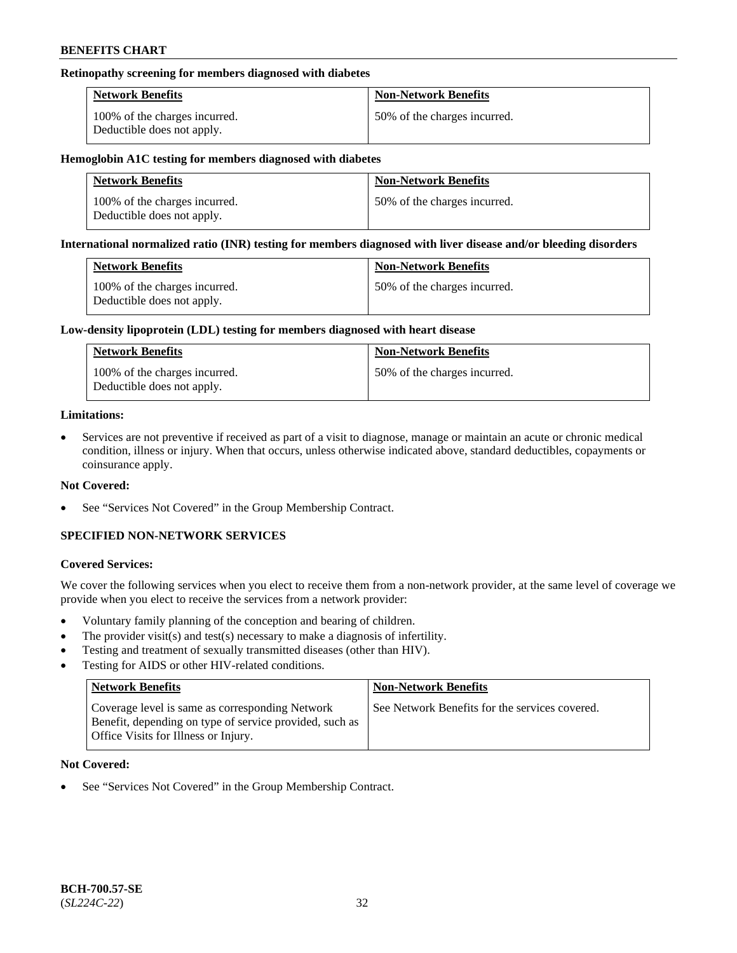### **Retinopathy screening for members diagnosed with diabetes**

| <b>Network Benefits</b>                                     | <b>Non-Network Benefits</b>  |
|-------------------------------------------------------------|------------------------------|
| 100% of the charges incurred.<br>Deductible does not apply. | 50% of the charges incurred. |

#### **Hemoglobin A1C testing for members diagnosed with diabetes**

| <b>Network Benefits</b>                                     | <b>Non-Network Benefits</b>  |
|-------------------------------------------------------------|------------------------------|
| 100% of the charges incurred.<br>Deductible does not apply. | 50% of the charges incurred. |

#### **International normalized ratio (INR) testing for members diagnosed with liver disease and/or bleeding disorders**

| <b>Network Benefits</b>                                     | <b>Non-Network Benefits</b>  |
|-------------------------------------------------------------|------------------------------|
| 100% of the charges incurred.<br>Deductible does not apply. | 50% of the charges incurred. |

#### **Low-density lipoprotein (LDL) testing for members diagnosed with heart disease**

| <b>Network Benefits</b>                                     | <b>Non-Network Benefits</b>  |
|-------------------------------------------------------------|------------------------------|
| 100% of the charges incurred.<br>Deductible does not apply. | 50% of the charges incurred. |

#### **Limitations:**

• Services are not preventive if received as part of a visit to diagnose, manage or maintain an acute or chronic medical condition, illness or injury. When that occurs, unless otherwise indicated above, standard deductibles, copayments or coinsurance apply.

### **Not Covered:**

See "Services Not Covered" in the Group Membership Contract.

## **SPECIFIED NON-NETWORK SERVICES**

### **Covered Services:**

We cover the following services when you elect to receive them from a non-network provider, at the same level of coverage we provide when you elect to receive the services from a network provider:

- Voluntary family planning of the conception and bearing of children.
- The provider visit(s) and test(s) necessary to make a diagnosis of infertility.
- Testing and treatment of sexually transmitted diseases (other than HIV).
- Testing for AIDS or other HIV-related conditions.

| <b>Network Benefits</b>                                                                                                                            | <b>Non-Network Benefits</b>                    |
|----------------------------------------------------------------------------------------------------------------------------------------------------|------------------------------------------------|
| Coverage level is same as corresponding Network<br>Benefit, depending on type of service provided, such as<br>Office Visits for Illness or Injury. | See Network Benefits for the services covered. |

### **Not Covered:**

See "Services Not Covered" in the Group Membership Contract.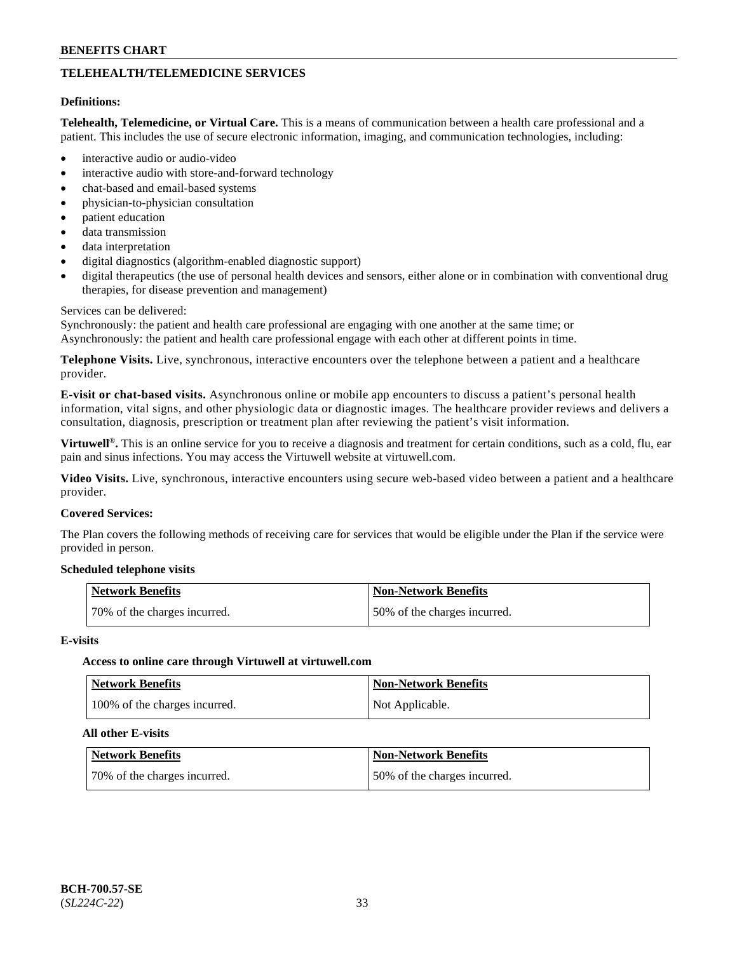## **TELEHEALTH/TELEMEDICINE SERVICES**

#### **Definitions:**

**Telehealth, Telemedicine, or Virtual Care.** This is a means of communication between a health care professional and a patient. This includes the use of secure electronic information, imaging, and communication technologies, including:

- interactive audio or audio-video
- interactive audio with store-and-forward technology
- chat-based and email-based systems
- physician-to-physician consultation
- patient education
- data transmission
- data interpretation
- digital diagnostics (algorithm-enabled diagnostic support)
- digital therapeutics (the use of personal health devices and sensors, either alone or in combination with conventional drug therapies, for disease prevention and management)

#### Services can be delivered:

Synchronously: the patient and health care professional are engaging with one another at the same time; or Asynchronously: the patient and health care professional engage with each other at different points in time.

**Telephone Visits.** Live, synchronous, interactive encounters over the telephone between a patient and a healthcare provider.

**E-visit or chat-based visits.** Asynchronous online or mobile app encounters to discuss a patient's personal health information, vital signs, and other physiologic data or diagnostic images. The healthcare provider reviews and delivers a consultation, diagnosis, prescription or treatment plan after reviewing the patient's visit information.

**Virtuwell<sup>®</sup>**. This is an online service for you to receive a diagnosis and treatment for certain conditions, such as a cold, flu, ear pain and sinus infections. You may access the Virtuwell website at [virtuwell.com.](https://www.virtuwell.com/)

**Video Visits.** Live, synchronous, interactive encounters using secure web-based video between a patient and a healthcare provider.

#### **Covered Services:**

The Plan covers the following methods of receiving care for services that would be eligible under the Plan if the service were provided in person.

#### **Scheduled telephone visits**

| Network Benefits             | <b>Non-Network Benefits</b>  |
|------------------------------|------------------------------|
| 70% of the charges incurred. | 50% of the charges incurred. |

#### **E-visits**

#### **Access to online care through Virtuwell at [virtuwell.com](https://www.virtuwell.com/)**

| <b>Network Benefits</b>       | <b>Non-Network Benefits</b> |
|-------------------------------|-----------------------------|
| 100% of the charges incurred. | Not Applicable.             |

#### **All other E-visits**

| <b>Network Benefits</b>      | <b>Non-Network Benefits</b>  |
|------------------------------|------------------------------|
| 70% of the charges incurred. | 50% of the charges incurred. |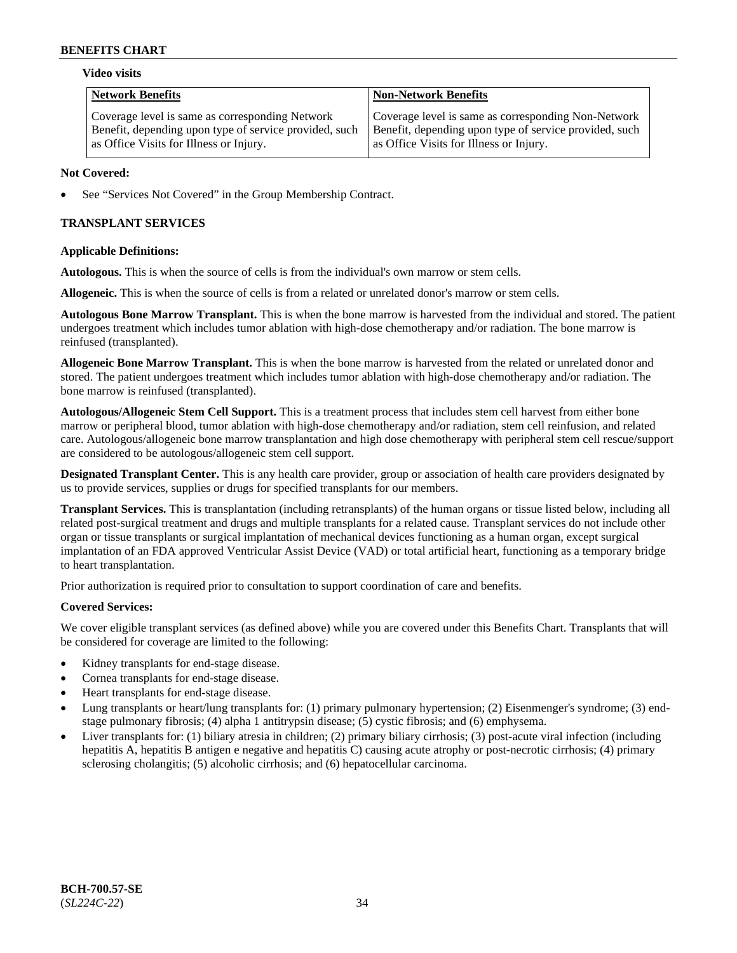#### **Video visits**

| <b>Network Benefits</b>                                | <b>Non-Network Benefits</b>                            |
|--------------------------------------------------------|--------------------------------------------------------|
| Coverage level is same as corresponding Network        | Coverage level is same as corresponding Non-Network    |
| Benefit, depending upon type of service provided, such | Benefit, depending upon type of service provided, such |
| as Office Visits for Illness or Injury.                | as Office Visits for Illness or Injury.                |

### **Not Covered:**

See "Services Not Covered" in the Group Membership Contract.

## **TRANSPLANT SERVICES**

### **Applicable Definitions:**

**Autologous.** This is when the source of cells is from the individual's own marrow or stem cells.

**Allogeneic.** This is when the source of cells is from a related or unrelated donor's marrow or stem cells.

**Autologous Bone Marrow Transplant.** This is when the bone marrow is harvested from the individual and stored. The patient undergoes treatment which includes tumor ablation with high-dose chemotherapy and/or radiation. The bone marrow is reinfused (transplanted).

**Allogeneic Bone Marrow Transplant.** This is when the bone marrow is harvested from the related or unrelated donor and stored. The patient undergoes treatment which includes tumor ablation with high-dose chemotherapy and/or radiation. The bone marrow is reinfused (transplanted).

**Autologous/Allogeneic Stem Cell Support.** This is a treatment process that includes stem cell harvest from either bone marrow or peripheral blood, tumor ablation with high-dose chemotherapy and/or radiation, stem cell reinfusion, and related care. Autologous/allogeneic bone marrow transplantation and high dose chemotherapy with peripheral stem cell rescue/support are considered to be autologous/allogeneic stem cell support.

**Designated Transplant Center.** This is any health care provider, group or association of health care providers designated by us to provide services, supplies or drugs for specified transplants for our members.

**Transplant Services.** This is transplantation (including retransplants) of the human organs or tissue listed below, including all related post-surgical treatment and drugs and multiple transplants for a related cause. Transplant services do not include other organ or tissue transplants or surgical implantation of mechanical devices functioning as a human organ, except surgical implantation of an FDA approved Ventricular Assist Device (VAD) or total artificial heart, functioning as a temporary bridge to heart transplantation.

Prior authorization is required prior to consultation to support coordination of care and benefits.

### **Covered Services:**

We cover eligible transplant services (as defined above) while you are covered under this Benefits Chart. Transplants that will be considered for coverage are limited to the following:

- Kidney transplants for end-stage disease.
- Cornea transplants for end-stage disease.
- Heart transplants for end-stage disease.
- Lung transplants or heart/lung transplants for: (1) primary pulmonary hypertension; (2) Eisenmenger's syndrome; (3) endstage pulmonary fibrosis; (4) alpha 1 antitrypsin disease; (5) cystic fibrosis; and (6) emphysema.
- Liver transplants for: (1) biliary atresia in children; (2) primary biliary cirrhosis; (3) post-acute viral infection (including hepatitis A, hepatitis B antigen e negative and hepatitis C) causing acute atrophy or post-necrotic cirrhosis; (4) primary sclerosing cholangitis; (5) alcoholic cirrhosis; and (6) hepatocellular carcinoma.